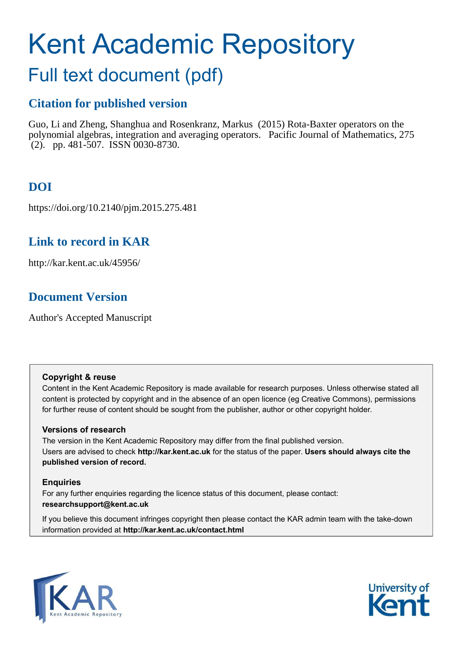# <span id="page-0-0"></span>Kent Academic Repository

## Full text document (pdf)

## **Citation for published version**

Guo, Li and Zheng, Shanghua and Rosenkranz, Markus (2015) Rota-Baxter operators on the polynomial algebras, integration and averaging operators. Pacific Journal of Mathematics, 275  $(2)$ . pp. 481-507. ISSN 0030-8730.

## **DOI**

https://doi.org/10.2140/pjm.2015.275.481

## **Link to record in KAR**

http://kar.kent.ac.uk/45956/

## **Document Version**

Author's Accepted Manuscript

#### **Copyright & reuse**

Content in the Kent Academic Repository is made available for research purposes. Unless otherwise stated all content is protected by copyright and in the absence of an open licence (eg Creative Commons), permissions for further reuse of content should be sought from the publisher, author or other copyright holder.

#### **Versions of research**

The version in the Kent Academic Repository may differ from the final published version. Users are advised to check **http://kar.kent.ac.uk** for the status of the paper. **Users should always cite the published version of record.**

#### **Enquiries**

For any further enquiries regarding the licence status of this document, please contact: **researchsupport@kent.ac.uk**

If you believe this document infringes copyright then please contact the KAR admin team with the take-down information provided at **http://kar.kent.ac.uk/contact.html**



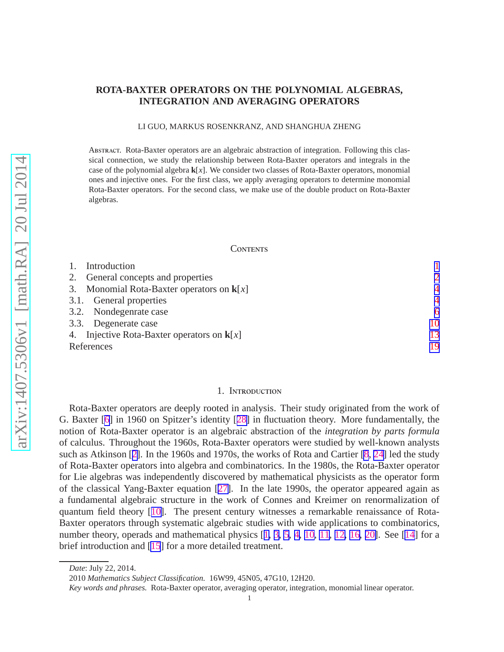#### <span id="page-1-0"></span>**ROTA-BAXTER OPERATORS ON THE POLYNOMIAL ALGEBRAS, INTEGRATION AND AVERAGING OPERATORS**

LI GUO, MARKUS ROSENKRANZ, AND SHANGHUA ZHENG

Abstract. Rota-Baxter operators are an algebraic abstraction of integration. Following this classical connection, we study the relationship between Rota-Baxter operators and integrals in the case of the polynomial algebra **k**[*x*]. We consider two classes of Rota-Baxter operators, monomial ones and injective ones. For the first class, we apply averaging operators to determine monomial Rota-Baxter operators. For the second class, we make use of the double product on Rota-Baxter algebras.

#### **CONTENTS**

| Introduction                                 |                |
|----------------------------------------------|----------------|
| 2. General concepts and properties           | $\mathcal{D}$  |
| 3. Monomial Rota-Baxter operators on $k[x]$  | $\overline{4}$ |
| 3.1. General properties                      | $\overline{4}$ |
| 3.2. Nondegenrate case                       | 6              |
| 3.3. Degenerate case                         | 10             |
| 4. Injective Rota-Baxter operators on $k[x]$ | 13             |
| References                                   | 19             |

#### 1. INTRODUCTION

Rota-Baxter operators are deeply rooted in analysis. Their study originated from the work of G. Baxter [\[6](#page-18-0)] in 1960 on Spitzer's identity [[28\]](#page-19-0) in fluctuation theory. More fundamentally, the notion of Rota-Baxter operator is an algebraic abstraction of the *integration by parts formula* of calculus. Throughout the 1960s, Rota-Baxter operators were studied by well-known analysts such as Atkinson [[2\]](#page-18-0). In the 1960s and 1970s, the works of Rota and Cartier [\[8](#page-18-0), [24](#page-19-0)] led the study of Rota-Baxter operators into algebra and combinatorics. In the 1980s, the Rota-Baxter operator for Lie algebras was independently discovered by mathematical physicists as the operator form of the classical Yang-Baxter equation [[27\]](#page-19-0). In the late 1990s, the operator appeared again as a fundamental algebraic structure in the work of Connes and Kreimer on renormalization of quantum field theory [[10\]](#page-18-0). The present century witnesses a remarkable renaissance of Rota-Baxter operators through systematic algebraic studies with wide applications to combinatorics, number theory, operads and mathematical physics [[1,](#page-18-0) [3,](#page-18-0) [5](#page-18-0), [4,](#page-18-0) [10,](#page-18-0) [11](#page-18-0), [12,](#page-18-0) [16](#page-19-0), [20\]](#page-19-0). See [\[14](#page-18-0)] for a brief introduction and [\[15](#page-19-0)] for a more detailed treatment.

*Date*: July 22, 2014.

<sup>2010</sup> *Mathematics Subject Classification.* 16W99, 45N05, 47G10, 12H20.

*Key words and phrases.* Rota-Baxter operator, averaging operator, integration, monomial linear operator.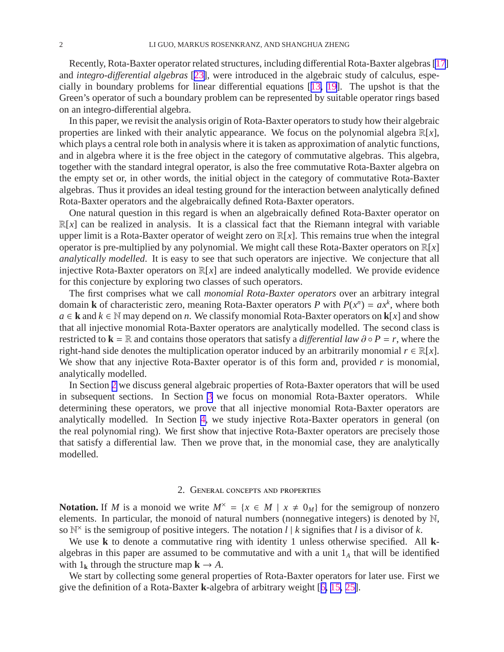<span id="page-2-0"></span>Recently, Rota-Baxter operator related structures, including differential Rota-Baxter algebras [\[17](#page-19-0)] and *integro-di*ff*erential algebras* [[23\]](#page-19-0), were introduced in the algebraic study of calculus, especially in boundary problems for linear differential equations [[13,](#page-18-0) [19](#page-19-0)]. The upshot is that the Green's operator of such a boundary problem can be represented by suitable operator rings based on an integro-differential algebra.

In this paper, we revisit the analysis origin of Rota-Baxter operators to study how their algebraic properties are linked with their analytic appearance. We focus on the polynomial algebra R[*x*], which plays a central role both in analysis where it is taken as approximation of analytic functions, and in algebra where it is the free object in the category of commutative algebras. This algebra, together with the standard integral operator, is also the free commutative Rota-Baxter algebra on the empty set or, in other words, the initial object in the category of commutative Rota-Baxter algebras. Thus it provides an ideal testing ground for the interaction between analytically defined Rota-Baxter operators and the algebraically defined Rota-Baxter operators.

One natural question in this regard is when an algebraically defined Rota-Baxter operator on  $\mathbb{R}[x]$  can be realized in analysis. It is a classical fact that the Riemann integral with variable upper limit is a Rota-Baxter operator of weight zero on  $\mathbb{R}[x]$ . This remains true when the integral operator is pre-multiplied by any polynomial. We might call these Rota-Baxter operators on R[*x*] *analytically modelled*. It is easy to see that such operators are injective. We conjecture that all injective Rota-Baxter operators on R[*x*] are indeed analytically modelled. We provide evidence for this conjecture by exploring two classes of such operators.

The first comprises what we call *monomial Rota-Baxter operators* over an arbitrary integral domain **k** of characteristic zero, meaning Rota-Baxter operators *P* with  $P(x^n) = ax^k$ , where both *a* ∈ **k** and  $k$  ∈ N may depend on *n*. We classify monomial Rota-Baxter operators on **k**[*x*] and show that all injective monomial Rota-Baxter operators are analytically modelled. The second class is restricted to **k** = R and contains those operators that satisfy a *differential law*  $\partial \circ P = r$ , where the right-hand side denotes the multiplication operator induced by an arbitrarily monomial  $r \in \mathbb{R}[x]$ . We show that any injective Rota-Baxter operator is of this form and, provided *r* is monomial, analytically modelled.

In Section [2](#page-1-0) we discuss general algebraic properties of Rota-Baxter operators that will be used in subsequent sections. In Section [3](#page-3-0) we focus on monomial Rota-Baxter operators. While determining these operators, we prove that all injective monomial Rota-Baxter operators are analytically modelled. In Section [4,](#page-12-0) we study injective Rota-Baxter operators in general (on the real polynomial ring). We first show that injective Rota-Baxter operators are precisely those that satisfy a differential law. Then we prove that, in the monomial case, they are analytically modelled.

#### 2. General concepts and properties

**Notation.** If *M* is a monoid we write  $M^{\times} = \{x \in M \mid x \neq 0_M\}$  for the semigroup of nonzero elements. In particular, the monoid of natural numbers (nonnegative integers) is denoted by N, so  $\mathbb{N}^{\times}$  is the semigroup of positive integers. The notation  $l \mid k$  signifies that  $l$  is a divisor of  $k$ .

We use **k** to denote a commutative ring with identity 1 unless otherwise specified. All **k**algebras in this paper are assumed to be commutative and with a unit 1*<sup>A</sup>* that will be identified with  $1_k$  through the structure map  $k \rightarrow A$ .

We start by collecting some general properties of Rota-Baxter operators for later use. First we give the definition of a Rota-Baxter **k**-algebra of arbitrary weight [[6,](#page-18-0) [15,](#page-19-0) [25\]](#page-19-0).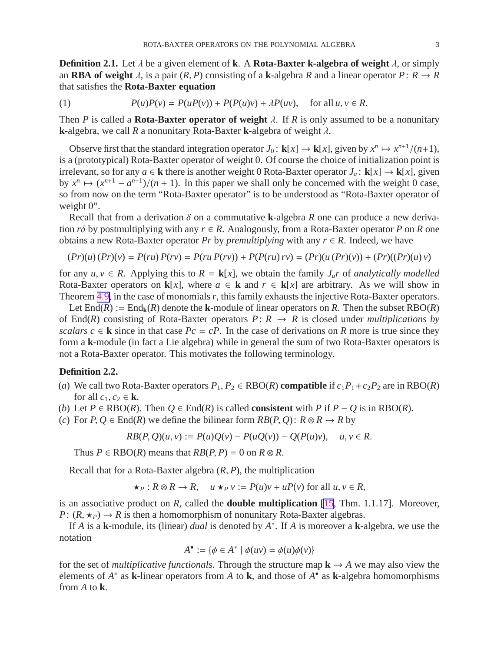<span id="page-3-0"></span>**Definition 2.1.** Let  $\lambda$  be a given element of **k**. A **Rota-Baxter k-algebra of weight**  $\lambda$ , or simply an **RBA** of weight  $\lambda$ , is a pair  $(R, P)$  consisting of a **k**-algebra *R* and a linear operator  $P: R \to R$ that satisfies the **Rota-Baxter equation**

(1) 
$$
P(u)P(v) = P(uP(v)) + P(P(u)v) + \lambda P(uv), \text{ for all } u, v \in R.
$$

Then *P* is called a **Rota-Baxter operator of weight**  $\lambda$ . If *R* is only assumed to be a nonunitary **k**-algebra, we call *R* a nonunitary Rota-Baxter **k**-algebra of weight λ.

Observe first that the standard integration operator  $J_0: \mathbf{k}[x] \to \mathbf{k}[x]$ , given by  $x^n \mapsto x^{n+1}/(n+1)$ , is a (prototypical) Rota-Baxter operator of weight 0. Of course the choice of initialization point is irrelevant, so for any  $a \in \mathbf{k}$  there is another weight 0 Rota-Baxter operator  $J_a: \mathbf{k}[x] \to \mathbf{k}[x]$ , given by  $x^n \mapsto (x^{n+1} - a^{n+1})/(n+1)$ . In this paper we shall only be concerned with the weight 0 case, so from now on the term "Rota-Baxter operator" is to be understood as "Rota-Baxter operator of weight 0".

Recall that from a derivation δ on a commutative **k**-algebra *R* one can produce a new derivation  $r\delta$  by postmultiplying with any  $r \in R$ . Analogously, from a Rota-Baxter operator P on R one obtains a new Rota-Baxter operator *Pr* by *premultiplying* with any  $r \in R$ . Indeed, we have

$$
(Pr)(u)(Pr)(v) = P(ru)P(rv) = P(ru P(rv)) + P(P(ru) rv) = (Pr)(u (Pr)(v)) + (Pr)((Pr)(u) v)
$$

for any  $u, v \in R$ . Applying this to  $R = \mathbf{k}[x]$ , we obtain the family  $J_a r$  of *analytically modelled* Rota-Baxter operators on **k**[*x*], where  $a \in \mathbf{k}$  and  $r \in \mathbf{k}[x]$  are arbitrary. As we will show in Theorem [4.9,](#page-15-0) in the case of monomials*r*, this family exhausts the injective Rota-Baxter operators.

Let  $\text{End}(R) := \text{End}_{k}(R)$  denote the **k**-module of linear operators on R. Then the subset  $\text{RBO}(R)$ of End(*R*) consisting of Rota-Baxter operators  $P: R \rightarrow R$  is closed under *multiplications by scalars*  $c \in \mathbf{k}$  since in that case  $Pc = cP$ . In the case of derivations on *R* more is true since they form a **k**-module (in fact a Lie algebra) while in general the sum of two Rota-Baxter operators is not a Rota-Baxter operator. This motivates the following terminology.

#### **Definition 2.2.**

- (*a*) We call two Rota-Baxter operators  $P_1, P_2 \in RBO(R)$  compatible if  $c_1P_1+c_2P_2$  are in  $RBO(R)$ for all  $c_1, c_2 \in \mathbf{k}$ .
- (*b*) Let  $P \in RBO(R)$ . Then  $Q \in End(R)$  is called **consistent** with  $P$  if  $P Q$  is in  $RBO(R)$ .
- (*c*) For  $P, Q \in End(R)$  we define the bilinear form  $RB(P, Q)$ :  $R \otimes R \rightarrow R$  by

$$
RB(P, Q)(u, v) := P(u)Q(v) - P(uQ(v)) - Q(P(u)v), \quad u, v \in R.
$$

Thus  $P \in RBO(R)$  means that  $RB(P, P) = 0$  on  $R \otimes R$ .

Recall that for a Rota-Baxter algebra (*R*, *P*), the multiplication

$$
\star_P: R \otimes R \to R, \quad u \star_P v := P(u)v + uP(v) \text{ for all } u, v \in R,
$$

is an associative product on *R*, called the **double multiplication** [\[15](#page-19-0), Thm. 1.1.17]. Moreover, *P*:  $(R, \star_P) \rightarrow R$  is then a homomorphism of nonunitary Rota-Baxter algebras.

If *A* is a **k**-module, its (linear) *dual* is denoted by *A* ∗ . If *A* is moreover a **k**-algebra, we use the notation

$$
A^{\bullet} := \{ \phi \in A^* \mid \phi(uv) = \phi(u)\phi(v) \}
$$

for the set of *multiplicative functionals*. Through the structure map  $\mathbf{k} \to A$  we may also view the elements of *A* ∗ as **k**-linear operators from *A* to **k**, and those of *A* • as **k**-algebra homomorphisms from *A* to **k**.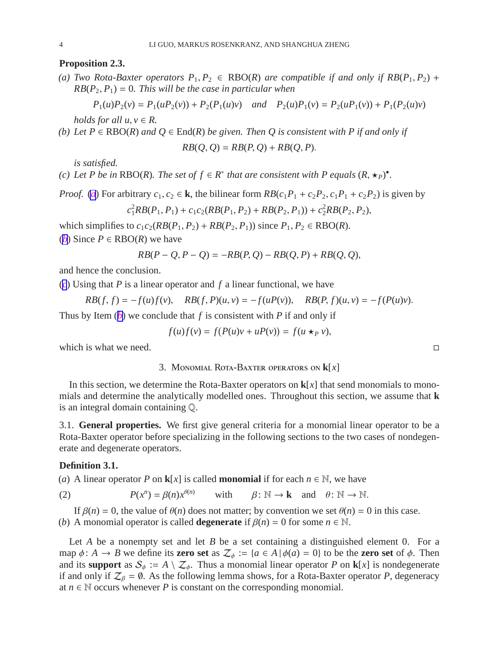#### <span id="page-4-0"></span>**Proposition 2.3.**

*(a) Two Rota-Baxter operators*  $P_1, P_2 \in RBO(R)$  *are compatible if and only if*  $RB(P_1, P_2)$  +  $RB(P_2, P_1) = 0$ . This will be the case in particular when

$$
P_1(u)P_2(v) = P_1(uP_2(v)) + P_2(P_1(u)v) \quad and \quad P_2(u)P_1(v) = P_2(uP_1(v)) + P_1(P_2(u)v)
$$

*holds for all*  $u, v \in R$ .

(b) Let 
$$
P \in RBO(R)
$$
 and  $Q \in End(R)$  be given. Then Q is consistent with P if and only if

$$
RB(Q, Q) = RB(P, Q) + RB(Q, P).
$$

*is satisfied.*

*(c)* Let P be in RBO(R). The set of  $f \in R^*$  that are consistent with P equals  $(R, \star_P)^{\bullet}$ .

*Proof.* (*[a](#page-3-0)*) For arbitrary  $c_1, c_2 \in \mathbf{k}$ , the bilinear form  $RB(c_1P_1 + c_2P_2, c_1P_1 + c_2P_2)$  is given by  $c_1^2 R B(P_1, P_1) + c_1 c_2 (R B(P_1, P_2) + R B(P_2, P_1)) + c_2^2 R B(P_2, P_2),$ 

which simplifies to  $c_1c_2(RB(P_1, P_2) + RB(P_2, P_1))$  since  $P_1, P_2 \in RBO(R)$ .

(*[b](#page-3-0)*) Since  $P \in RBO(R)$  we have

$$
RB(P - Q, P - Q) = -RB(P, Q) - RB(Q, P) + RB(Q, Q),
$$

and hence the conclusion.

(*[c](#page-3-0)*) Using that *P* is a linear operator and *f* a linear functional, we have

$$
RB(f, f) = -f(u)f(v), \quad RB(f, P)(u, v) = -f(uP(v)), \quad RB(P, f)(u, v) = -f(P(u)v).
$$

Thus by Item (*[b](#page-3-0)*) we conclude that *f* is consistent with *P* if and only if

$$
f(u)f(v) = f(P(u)v + uP(v)) = f(u \star_P v),
$$

which is what we need.  $\Box$ 

#### 3. Monomial Rota-Baxter operators on **k**[*x*]

In this section, we determine the Rota-Baxter operators on  $\mathbf{k}[x]$  that send monomials to monomials and determine the analytically modelled ones. Throughout this section, we assume that **k** is an integral domain containing Q.

3.1. **General properties.** We first give general criteria for a monomial linear operator to be a Rota-Baxter operator before specializing in the following sections to the two cases of nondegenerate and degenerate operators.

#### **Definition 3.1.**

(*a*) A linear operator *P* on **k**[*x*] is called **monomial** if for each  $n \in \mathbb{N}$ , we have

(2) 
$$
P(x^n) = \beta(n)x^{\theta(n)}
$$
 with  $\beta: \mathbb{N} \to \mathbf{k}$  and  $\theta: \mathbb{N} \to \mathbb{N}$ .

If  $\beta(n) = 0$ , the value of  $\theta(n)$  does not matter; by convention we set  $\theta(n) = 0$  in this case. (*b*) A monomial operator is called **degenerate** if  $\beta(n) = 0$  for some  $n \in \mathbb{N}$ .

Let *A* be a nonempty set and let *B* be a set containing a distinguished element 0. For a map  $\phi: A \to B$  we define its **zero set** as  $\mathcal{Z}_{\phi} := \{a \in A \mid \phi(a) = 0\}$  to be the **zero set** of  $\phi$ . Then and its **support** as  $\mathcal{S}_{\phi} := A \setminus \mathcal{Z}_{\phi}$ . Thus a monomial linear operator *P* on **k**[*x*] is nondegenerate if and only if  $\mathcal{Z}_{\beta} = \emptyset$ . As the following lemma shows, for a Rota-Baxter operator *P*, degeneracy at  $n \in \mathbb{N}$  occurs whenever P is constant on the corresponding monomial.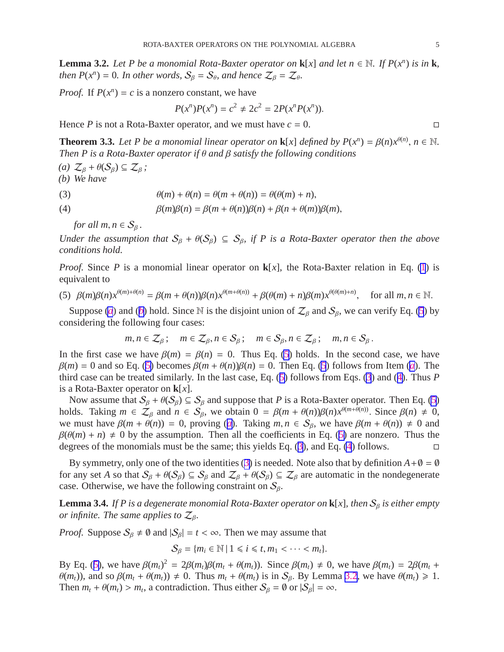<span id="page-5-0"></span>**Lemma 3.2.** *Let P be a monomial Rota-Baxter operator on*  $\mathbf{k}[x]$  *and let n*  $\in \mathbb{N}$ *. If P(x<sup>n</sup>) is in* **k**, *then*  $P(x^n) = 0$ *. In other words,*  $S_\beta = S_\theta$ *, and hence*  $\mathcal{Z}_\beta = \mathcal{Z}_\theta$ *.* 

*Proof.* If  $P(x^n) = c$  is a nonzero constant, we have

$$
P(x^n)P(x^n) = c^2 \neq 2c^2 = 2P(x^nP(x^n)).
$$

Hence *P* is not a Rota-Baxter operator, and we must have  $c = 0$ .

**Theorem 3.3.** *Let P be a monomial linear operator on* **k**[*x*] *defined by*  $P(x^n) = \beta(n)x^{\theta(n)}$ ,  $n \in \mathbb{N}$ . *Then P is a Rota-Baxter operator if* θ *and* β *satisfy the following conditions*

*(a)*  $\mathcal{Z}_\beta$  +  $\theta$ ( $\mathcal{S}_\beta$ ) ⊆  $\mathcal{Z}_\beta$ ; *(b) We have*

(3) 
$$
\theta(m) + \theta(n) = \theta(m + \theta(n)) = \theta(\theta(m) + n),
$$

(4) 
$$
\beta(m)\beta(n) = \beta(m+\theta(n))\beta(n)+\beta(n+\theta(m))\beta(m),
$$

*for all*  $m, n \in S_\beta$ .

*Under the assumption that*  $S_\beta + \theta(S_\beta) \subseteq S_\beta$ , if P is a Rota-Baxter operator then the above *conditions hold.*

*Proof.* Since *P* is a monomial linear operator on **k**[x], the Rota-Baxter relation in Eq. [\(1](#page-2-0)) is equivalent to

(5) 
$$
\beta(m)\beta(n)x^{\theta(m)+\theta(n)} = \beta(m+\theta(n))\beta(n)x^{\theta(m+\theta(n))} + \beta(\theta(m)+n)\beta(m)x^{\theta(\theta(m)+n)},
$$
 for all  $m, n \in \mathbb{N}$ .

Suppose (*[a](#page-4-0)*) and (*[b](#page-4-0)*) hold. Since N is the disjoint union of  $\mathcal{Z}_{\beta}$  and  $\mathcal{S}_{\beta}$ , we can verify Eq. [\(5](#page-4-0)) by considering the following four cases:

$$
m, n \in \mathcal{Z}_{\beta}; \quad m \in \mathcal{Z}_{\beta}, n \in \mathcal{S}_{\beta}; \quad m \in \mathcal{S}_{\beta}, n \in \mathcal{Z}_{\beta}; \quad m, n \in \mathcal{S}_{\beta}.
$$

In the first case we have  $\beta(m) = \beta(n) = 0$ . Thus Eq. [\(5](#page-4-0)) holds. In the second case, we have  $β(m) = 0$  and so Eq. ([5\)](#page-4-0) becomes  $β(m + θ(n))β(n) = 0$ . Then Eq. [\(5](#page-4-0)) follows from Item (*[a](#page-4-0)*). The third case can be treated similarly. In the last case, Eq. ([5\)](#page-4-0) follows from Eqs. [\(3](#page-4-0)) and ([4\)](#page-4-0). Thus *P* is a Rota-Baxter operator on **k**[*x*].

Now assume that  $S_\beta$  +  $\theta(S_\beta) \subseteq S_\beta$  and suppose that *P* is a Rota-Baxter operator. Then Eq. [\(5](#page-4-0)) holds. Taking  $m \in \mathcal{Z}_{\beta}$  and  $n \in \mathcal{S}_{\beta}$ , we obtain  $0 = \beta(m + \theta(n))\beta(n)x^{\theta(m + \theta(n)})$ . Since  $\beta(n) \neq 0$ , we must h[a](#page-4-0)ve  $\beta(m + \theta(n)) = 0$ , proving (*a*). Taking  $m, n \in S_\beta$ , we have  $\beta(m + \theta(n)) \neq 0$  and  $\beta(\theta(m) + n) \neq 0$  by the assumption. Then all the coefficients in Eq. ([5\)](#page-4-0) are nonzero. Thus the degrees of the monomials must be the same; this yields Eq. [\(3](#page-4-0)), and Eq. [\(4](#page-4-0)) follows.

By symmetry, only one of the two identities ([3\)](#page-4-0) is needed. Note also that by definition  $A + \emptyset = \emptyset$ for any set *A* so that  $S_\beta + \theta(S_\beta) \subseteq S_\beta$  and  $\mathcal{Z}_\beta + \theta(S_\beta) \subseteq \mathcal{Z}_\beta$  are automatic in the nondegenerate case. Otherwise, we have the following constraint on  $S_\beta$ .

**Lemma 3.4.** *If P is a degenerate monomial Rota-Baxter operator on*  $\mathbf{k}[x]$ *, then*  $S_\beta$  *is either empty or infinite. The same applies to*  $\mathcal{Z}_{\beta}$ *.* 

*Proof.* Suppose  $S_\beta \neq \emptyset$  and  $|S_\beta| = t < \infty$ . Then we may assume that

$$
S_{\beta} = \{m_i \in \mathbb{N} \mid 1 \leq i \leq t, m_1 < \cdots < m_t\}.
$$

By Eq. ([5\)](#page-4-0), we have  $\beta(m_t)^2 = 2\beta(m_t)\beta(m_t + \theta(m_t))$ . Since  $\beta(m_t) \neq 0$ , we have  $\beta(m_t) = 2\beta(m_t + \theta(m_t))$ .  $\theta(m_t)$ ), and so  $\beta(m_t + \theta(m_t)) \neq 0$ . Thus  $m_t + \theta(m_t)$  is in  $S_\beta$ . By Lemma [3.2](#page-4-0), we have  $\theta(m_t) \geq 1$ . Then  $m_t + \theta(m_t) > m_t$ , a contradiction. Thus either  $S_\beta = \emptyset$  or  $|S_\beta| = \infty$ .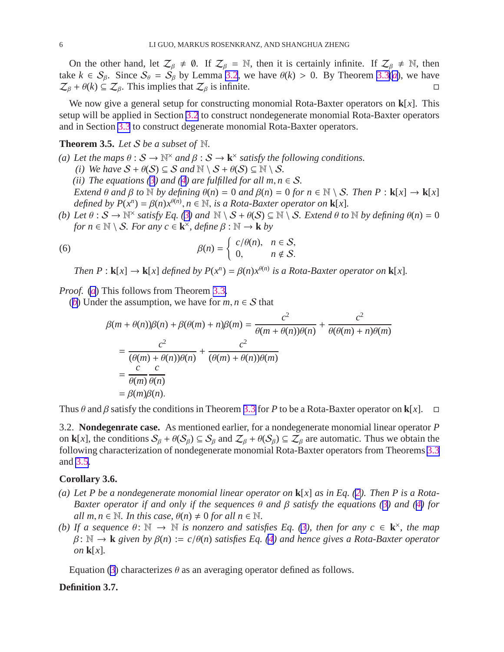<span id="page-6-0"></span>On the other hand, let  $\mathcal{Z}_{\beta} \neq \emptyset$ . If  $\mathcal{Z}_{\beta} = \mathbb{N}$ , then it is certainly infinite. If  $\mathcal{Z}_{\beta} \neq \mathbb{N}$ , then t[a](#page-4-0)ke  $k \in S_\beta$ . Since  $S_\theta = S_\beta$  by Lemma [3.2](#page-4-0), we have  $\theta(k) > 0$ . By Theorem [3.3\(](#page-4-0)*a*), we have  $Z_\beta + \theta(k) \subseteq Z_\beta$ . This implies that  $Z_\beta$  is infinite.  $\mathcal{Z}_{\beta} + \theta(k) \subseteq \mathcal{Z}_{\beta}$ . This implies that  $\mathcal{Z}_{\beta}$  is infinite.

We now give a general setup for constructing monomial Rota-Baxter operators on **k**[*x*]. This setup will be applied in Section [3.2](#page-5-0) to construct nondegenerate monomial Rota-Baxter operators and in Section [3.3](#page-9-0) to construct degenerate monomial Rota-Baxter operators.

#### **Theorem 3.5.** *Let* S *be a subset of* N*.*

- (a) Let the maps  $\theta : S \to \mathbb{N}^\times$  and  $\beta : S \to \mathbf{k}^\times$  satisfy the following conditions.
	- *(i)* We have  $S + \theta(S) \subseteq S$  and  $\mathbb{N} \setminus S + \theta(S) \subseteq \mathbb{N} \setminus S$ .
	- *(ii)* The equations  $(3)$  $(3)$  and  $(4)$  $(4)$  are fulfilled for all  $m, n \in S$ .

*Extend*  $\theta$  *and*  $\beta$  *to*  $\mathbb N$  *by defining*  $\theta(n) = 0$  *and*  $\beta(n) = 0$  *for*  $n \in \mathbb N \setminus S$ *. Then*  $P : \mathbf{k}[x] \to \mathbf{k}[x]$ *defined by*  $P(x^n) = \beta(n)x^{\theta(n)}, n \in \mathbb{N}$ *, is a Rota-Baxter operator on* **k**[*x*]*.* 

*(b)* Let  $\theta : S \to \mathbb{N}^\times$  satisfy Eq. ([3\)](#page-4-0) and  $\mathbb{N} \setminus S + \theta(S) \subseteq \mathbb{N} \setminus S$ . Extend  $\theta$  to  $\mathbb{N}$  by defining  $\theta(n) = 0$  $for n \in \mathbb{N} \setminus \mathcal{S}$ *. For any*  $c \in \mathbf{k}^{\times}$ *, define*  $\beta : \mathbb{N} \to \mathbf{k}$  *by* 

(6) 
$$
\beta(n) = \begin{cases} c/\theta(n), & n \in \mathcal{S}, \\ 0, & n \notin \mathcal{S}. \end{cases}
$$

*Then*  $P : \mathbf{k}[x] \to \mathbf{k}[x]$  *defined by*  $P(x^n) = \beta(n)x^{\theta(n)}$  *is a Rota-Baxter operator on*  $\mathbf{k}[x]$ *.* 

*Proof.* (*[a](#page-5-0)*) This follows from Theorem [3.3.](#page-4-0)

(*[b](#page-5-0)*) Under the assumption, we have for  $m, n \in S$  that

$$
\beta(m + \theta(n))\beta(n) + \beta(\theta(m) + n)\beta(m) = \frac{c^2}{\theta(m + \theta(n))\theta(n)} + \frac{c^2}{\theta(\theta(m) + n)\theta(m)}
$$
  
= 
$$
\frac{c^2}{(\theta(m) + \theta(n))\theta(n)} + \frac{c^2}{(\theta(m) + \theta(n))\theta(m)}
$$
  
= 
$$
\frac{c}{\theta(m)}\frac{c}{\theta(n)}
$$
  
= 
$$
\beta(m)\beta(n).
$$

Thus  $\theta$  and  $\beta$  satisfy the conditions in Theorem [3.3](#page-4-0) for P to be a Rota-Baxter operator on **k**[*x*].  $\Box$ 

3.2. **Nondegenrate case.** As mentioned earlier, for a nondegenerate monomial linear operator *P* on **k**[*x*], the conditions  $S_\beta + \theta(S_\beta) \subseteq S_\beta$  and  $\mathcal{Z}_\beta + \theta(S_\beta) \subseteq \mathcal{Z}_\beta$  are automatic. Thus we obtain the following characterization of nondegenerate monomial Rota-Baxter operators from Theorems [3.3](#page-4-0) and [3.5](#page-5-0).

#### **Corollary 3.6.**

- *(a) Let P be a nondegenerate monomial linear operator on* **k**[*x*] *as in Eq. [\(2](#page-3-0)). Then P is a Rota-Baxter operator if and only if the sequences* θ *and* β *satisfy the equations [\(3](#page-4-0)) and ([4\)](#page-4-0) for*  $all m, n \in \mathbb{N}$ . In this case,  $\theta(n) \neq 0$  for all  $n \in \mathbb{N}$ .
- *(b)* If a sequence  $\theta: \mathbb{N} \to \mathbb{N}$  is nonzero and satisfies Eq. [\(3](#page-4-0)), then for any  $c \in \mathbf{k}^{\times}$ , the map β: N → **k** *given by* β(*n*) := *c*/θ(*n*) *satisfies Eq. [\(4](#page-4-0)) and hence gives a Rota-Baxter operator on* **k**[*x*]*.*

Equation [\(3](#page-4-0)) characterizes  $\theta$  as an averaging operator defined as follows.

#### **Definition 3.7.**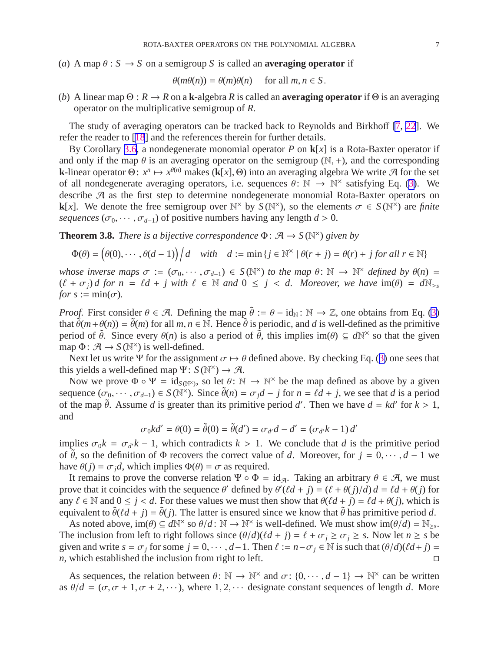<span id="page-7-0"></span>(*a*) A map  $\theta$  :  $S \rightarrow S$  on a semigroup S is called an **averaging operator** if

$$
\theta(m\theta(n)) = \theta(m)\theta(n) \quad \text{ for all } m, n \in S.
$$

(*b*) A linear map  $\Theta: R \to R$  on a **k**-algebra *R* is called an **averaging operator** if  $\Theta$  is an averaging operator on the multiplicative semigroup of *R*.

The study of averaging operators can be tracked back to Reynolds and Birkhoff [\[7](#page-18-0), [22](#page-19-0)]. We refer the reader to [\[18](#page-19-0)] and the references therein for further details.

By Corollary [3.6,](#page-5-0) a nondegenerate monomial operator *P* on **k**[*x*] is a Rota-Baxter operator if and only if the map  $\theta$  is an averaging operator on the semigroup (N, +), and the corresponding **k**-linear operator  $\Theta: x^n \mapsto x^{\theta(n)}$  makes (**k**[*x*],  $\Theta$ ) into an averaging algebra We write A for the set of all nondegenerate averaging operators, i.e. sequences  $\theta \colon \mathbb{N} \to \mathbb{N}^\times$  satisfying Eq. ([3\)](#page-4-0). We describe A as the first step to determine nondegenerate monomial Rota-Baxter operators on **k**[x]. We denote the free semigroup over  $\mathbb{N}^{\times}$  by  $S(\mathbb{N}^{\times})$ , so the elements  $\sigma \in S(\mathbb{N}^{\times})$  are *finite sequences* ( $\sigma_0$ , · · · ,  $\sigma_{d-1}$ ) of positive numbers having any length  $d > 0$ .

**Theorem 3.8.** *There is a bijective correspondence*  $\Phi$ :  $\mathcal{A} \to S(\mathbb{N}^{\times})$  *given by* 

$$
\Phi(\theta) = \left(\theta(0), \cdots, \theta(d-1)\right) \Big/ d \quad \text{with} \quad d := \min\left\{j \in \mathbb{N}^{\times} \mid \theta(r+j) = \theta(r) + j \text{ for all } r \in \mathbb{N}\right\}
$$

*whose inverse maps*  $\sigma := (\sigma_0, \dots, \sigma_{d-1}) \in S(\mathbb{N}^\times)$  *to the map*  $\theta \colon \mathbb{N} \to \mathbb{N}^\times$  *defined by*  $\theta(n) =$  $(\ell + \sigma_i)d$  for  $n = \ell d + j$  with  $\ell \in \mathbb{N}$  and  $0 \leq j < d$ . Moreover, we have  $\text{im}(\theta) = d\mathbb{N}_{\geq s}$ *for*  $s := min(\sigma)$ *.* 

*Proof.* First consider  $\theta \in \mathcal{A}$ . Defining the map  $\tilde{\theta} := \theta - id_N : \mathbb{N} \to \mathbb{Z}$ , one obtains from Eq. [\(3](#page-4-0)) that  $\tilde{\theta}(m+\theta(n)) = \tilde{\theta}(m)$  for all  $m, n \in \mathbb{N}$ . Hence  $\tilde{\theta}$  is periodic, and *d* is well-defined as the primitive period of  $\tilde{\theta}$ . Since every  $\theta(n)$  is also a period of  $\tilde{\theta}$ , this implies im( $\theta$ )  $\subseteq d\mathbb{N}^{\times}$  so that the given map  $\Phi: \mathcal{A} \to S(\mathbb{N}^\times)$  is well-defined.

Next let us write Ψ for the assignment  $\sigma \mapsto \theta$  defined above. By checking Eq. ([3\)](#page-4-0) one sees that this yields a well-defined map  $\Psi: S(\mathbb{N}^{\times}) \to \mathcal{A}$ .

Now we prove  $\Phi \circ \Psi = id_{S(\mathbb{N}^{\times})}$ , so let  $\theta \colon \mathbb{N} \to \mathbb{N}^{\times}$  be the map defined as above by a given sequence  $(\sigma_0, \dots, \sigma_{d-1}) \in S(\mathbb{N}^{\times})$ . Since  $\tilde{\theta}(n) = \sigma_j d - j$  for  $n = \ell d + j$ , we see that *d* is a period of the map  $\tilde{\theta}$ . Assume *d* is greater than its primitive period *d'*. Then we have  $d = kd'$  for  $k > 1$ , and

$$
\sigma_0 k d' = \theta(0) = \tilde{\theta}(0) = \tilde{\theta}(d') = \sigma_{d'} d - d' = (\sigma_{d'} k - 1) d'
$$

implies  $\sigma_0 k = \sigma_d k - 1$ , which contradicts  $k > 1$ . We conclude that *d* is the primitive period of  $\theta$ , so the definition of  $\Phi$  recovers the correct value of *d*. Moreover, for  $j = 0, \dots, d - 1$  we have  $\theta(j) = \sigma_j d$ , which implies  $\Phi(\theta) = \sigma$  as required.

It remains to prove the converse relation  $\Psi \circ \Phi = id_{\mathcal{A}}$ . Taking an arbitrary  $\theta \in \mathcal{A}$ , we must prove that it coincides with the sequence  $\theta'$  defined by  $\theta'(l d + j) = (\ell + \theta(j)/d) d = \ell d + \theta(j)$  for any  $\ell \in \mathbb{N}$  and  $0 \le j < d$ . For these values we must then show that  $\theta(\ell d + j) = \ell d + \theta(j)$ , which is equivalent to  $\tilde{\theta}(\ell d + j) = \tilde{\theta}(j)$ . The latter is ensured since we know that  $\tilde{\theta}$  has primitive period *d*.

As noted above,  $\text{im}(\theta) \subseteq d\mathbb{N}^{\times}$  so  $\theta/d : \mathbb{N} \to \mathbb{N}^{\times}$  is well-defined. We must show  $\text{im}(\theta/d) = \mathbb{N}_{\geq s}$ . The inclusion from left to right follows since  $(\theta/d)(\ell d + j) = \ell + \sigma_j \ge \sigma_j \ge s$ . Now let  $n \ge s$  be given and write  $s = \sigma_j$  for some  $j = 0, \dots, d-1$ . Then  $\ell := n - \sigma_j \in \mathbb{N}$  is such that  $(\theta/d)(\ell d + j) = n$ , which established the inclusion from right to left. *n*, which established the inclusion from right to left.

As sequences, the relation between  $\theta \colon \mathbb{N} \to \mathbb{N}^\times$  and  $\sigma \colon \{0, \dots, d - 1\} \to \mathbb{N}^\times$  can be written as  $\theta/d = (\sigma, \sigma + 1, \sigma + 2, \cdots)$ , where 1, 2,  $\cdots$  designate constant sequences of length *d*. More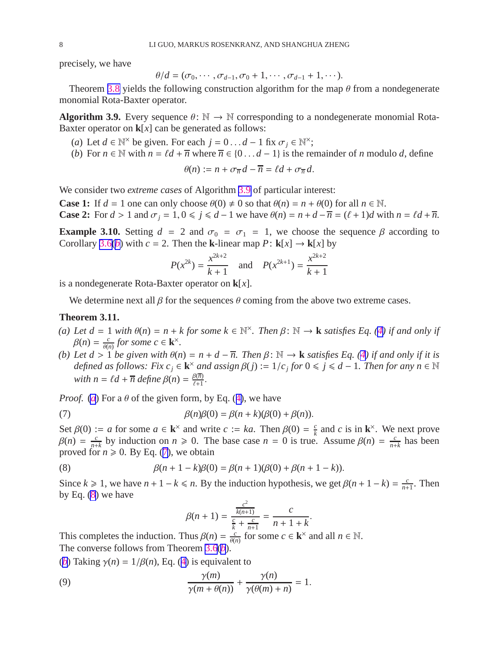<span id="page-8-0"></span>precisely, we have

$$
\theta/d=(\sigma_0,\cdots,\sigma_{d-1},\sigma_0+1,\cdots,\sigma_{d-1}+1,\cdots).
$$

Theorem [3.8](#page-6-0) yields the following construction algorithm for the map  $\theta$  from a nondegenerate monomial Rota-Baxter operator.

**Algorithm 3.9.** Every sequence  $\theta \colon \mathbb{N} \to \mathbb{N}$  corresponding to a nondegenerate monomial Rota-Baxter operator on  $\mathbf{k}[x]$  can be generated as follows:

- (*a*) Let  $d \in \mathbb{N}^{\times}$  be given. For each  $j = 0 \dots d 1$  fix  $\sigma_j \in \mathbb{N}^{\times}$ ;
- (*b*) For  $n \in \mathbb{N}$  with  $n = \ell d + \overline{n}$  where  $\overline{n} \in \{0 \dots d 1\}$  is the remainder of *n* modulo *d*, define

$$
\theta(n) := n + \sigma_{\overline{n}} d - \overline{n} = \ell d + \sigma_{\overline{n}} d.
$$

We consider two *extreme cases* of Algorithm [3.9](#page-7-0) of particular interest:

**Case 1:** If  $d = 1$  one can only choose  $\theta(0) \neq 0$  so that  $\theta(n) = n + \theta(0)$  for all  $n \in \mathbb{N}$ . **Case 2:** For  $d > 1$  and  $\sigma_j = 1, 0 \le j \le d - 1$  we have  $\theta(n) = n + d - \overline{n} = (\ell + 1)d$  with  $n = \ell d + \overline{n}$ .

**Example 3.10.** Setting  $d = 2$  and  $\sigma_0 = \sigma_1 = 1$ , we choose the sequence  $\beta$  according to Corollary [3.6\(](#page-5-0)*[b](#page-5-0)*) with  $c = 2$ . Then the **k**-linear map  $P:$  **k**[*x*]  $\rightarrow$  **k**[*x*] by

$$
P(x^{2k}) = \frac{x^{2k+2}}{k+1}
$$
 and  $P(x^{2k+1}) = \frac{x^{2k+2}}{k+1}$ 

is a nondegenerate Rota-Baxter operator on **k**[*x*].

We determine next all  $\beta$  for the sequences  $\theta$  coming from the above two extreme cases.

#### **Theorem 3.11.**

- *(a)* Let  $d = 1$  with  $\theta(n) = n + k$  for some  $k \in \mathbb{N}^{\times}$ . Then  $\beta \colon \mathbb{N} \to \mathbf{k}$  satisfies Eq. ([4\)](#page-4-0) if and only if  $\beta(n) = \frac{c}{\theta(n)}$  $\frac{c}{\theta(n)}$  for some  $c \in \mathbf{k}^{\times}$ .
- *(b) Let d* > 1 *be given with* θ(*n*) = *n* + *d* − *n. Then* β: N → **k** *satisfies Eq. [\(4](#page-4-0)) if and only if it is defined as follows: Fix*  $c_j \in \mathbf{k}^\times$  *and assign*  $\beta(j) := 1/c_j$  *for*  $0 \le j \le d - 1$ *. Then for any*  $n \in \mathbb{N}$ *with*  $n = \ell d + \overline{n}$  *define*  $\beta(n) = \frac{\beta(\overline{n})}{\ell+1}$  $\frac{B(n)}{\ell+1}$ .

*Proof.* (*[a](#page-7-0)*) For a  $\theta$  of the given form, by Eq. ([4\)](#page-4-0), we have

(7) 
$$
\beta(n)\beta(0) = \beta(n+k)(\beta(0)+\beta(n)).
$$

Set  $\beta(0) := a$  for some  $a \in \mathbf{k}^\times$  and write  $c := ka$ . Then  $\beta(0) = \frac{c}{k}$  $\frac{c}{k}$  and *c* is in  $\mathbf{k}^{\times}$ . We next prove  $\beta(n) = \frac{c}{n+1}$  $\frac{c}{n+k}$  by induction on  $n \ge 0$ . The base case  $n = 0$  is true. Assume  $\beta(n) = \frac{c}{n+k}$  $\frac{c}{n+k}$  has been proved for  $n \ge 0$ . By Eq. ([7\)](#page-7-0), we obtain

(8) 
$$
\beta(n+1-k)\beta(0) = \beta(n+1)(\beta(0)+\beta(n+1-k)).
$$

Since  $k \ge 1$ , we have  $n + 1 - k \le n$ . By the induction hypothesis, we get  $\beta(n + 1 - k) = \frac{c}{n + k}$  $\frac{c}{n+1}$ . Then by Eq.  $(8)$  $(8)$  we have

$$
\beta(n+1) = \frac{\frac{c^2}{k(n+1)}}{\frac{c}{k} + \frac{c}{n+1}} = \frac{c}{n+1+k}
$$

.

This completes the induction. Thus  $\beta(n) = \frac{c}{\theta(n)}$  $\frac{c}{\theta(n)}$  for some  $c \in \mathbf{k}^{\times}$  and all  $n \in \mathbb{N}$ . The converse follows from Theorem [3.6](#page-5-0)(*[b](#page-5-0)*).

(*[b](#page-7-0)*) Taking  $\gamma(n) = 1/\beta(n)$ , Eq. ([4\)](#page-4-0) is equivalent to

(9) 
$$
\frac{\gamma(m)}{\gamma(m+\theta(n))} + \frac{\gamma(n)}{\gamma(\theta(m)+n)} = 1.
$$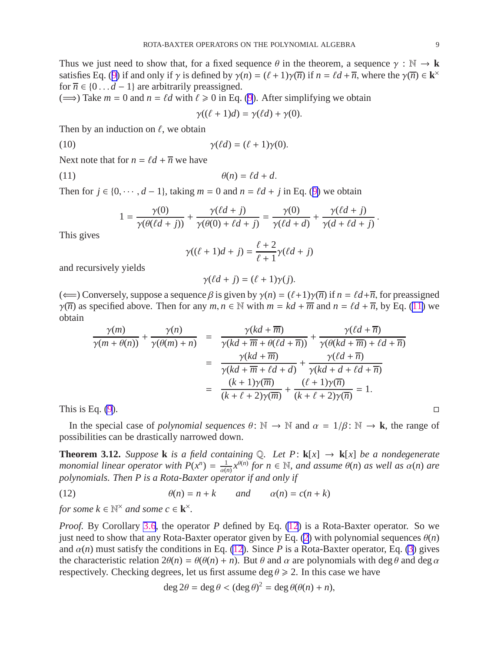<span id="page-9-0"></span>Thus we just need to show that, for a fixed sequence  $\theta$  in the theorem, a sequence  $\gamma : \mathbb{N} \to \mathbf{k}$ satisfies Eq. ([9\)](#page-7-0) if and only if  $\gamma$  is defined by  $\gamma(n) = (\ell + 1)\gamma(\overline{n})$  if  $n = \ell d + \overline{n}$ , where the  $\gamma(\overline{n}) \in \mathbf{k}^{\times}$ for  $\overline{n} \in \{0 \dots d - 1\}$  are arbitrarily preassigned.

 $(\implies)$  Take  $m = 0$  and  $n = \ell d$  with  $\ell \geq 0$  in Eq. [\(9](#page-7-0)). After simplifying we obtain

$$
\gamma((\ell+1)d) = \gamma(\ell d) + \gamma(0).
$$

Then by an induction on  $\ell$ , we obtain

(10) 
$$
\gamma(\ell d) = (\ell + 1)\gamma(0).
$$

Next note that for  $n = \ell d + \overline{n}$  we have

$$
\theta(n) = \ell d + d.
$$

Then for  $j \in \{0, \dots, d-1\}$ , taking  $m = 0$  and  $n = \ell d + j$  in Eq. ([9\)](#page-7-0) we obtain

$$
1 = \frac{\gamma(0)}{\gamma(\theta(\ell d + j))} + \frac{\gamma(\ell d + j)}{\gamma(\theta(0) + \ell d + j)} = \frac{\gamma(0)}{\gamma(\ell d + d)} + \frac{\gamma(\ell d + j)}{\gamma(d + \ell d + j)}
$$

This gives

$$
\gamma((\ell+1)d+j) = \frac{\ell+2}{\ell+1}\gamma(\ell d+j)
$$

and recursively yields

$$
\gamma(\ell d + j) = (\ell + 1)\gamma(j).
$$

( $\Longleftarrow$ ) Conversely, suppose a sequence  $\beta$  is given by  $\gamma(n) = (\ell+1)\gamma(\overline{n})$  if  $n = \ell d + \overline{n}$ , for preassigned *γ*( $\overline{n}$ ) as specified above. Then for any *m*, *n*  $\in$  N with *m* = *kd* +  $\overline{m}$  and *n* = *ld* +  $\overline{n}$ , by Eq. [\(11](#page-8-0)) we obtain γ(*kd* + *m*)

$$
\frac{\gamma(m)}{\gamma(m+\theta(n))} + \frac{\gamma(n)}{\gamma(\theta(m)+n)} = \frac{\gamma(kd+\overline{m})}{\gamma(kd+\overline{m}+\theta(\ell d+\overline{n}))} + \frac{\gamma(\ell d+\overline{n})}{\gamma(\theta(kd+\overline{m})+\ell d+\overline{n})}
$$

$$
= \frac{\gamma(kd+\overline{m})}{\gamma(kd+\overline{m}+\ell d+d)} + \frac{\gamma(\ell d+\overline{n})}{\gamma(kd+d+\ell d+\overline{n})}
$$

$$
= \frac{(k+1)\gamma(\overline{m})}{(k+\ell+2)\gamma(\overline{m})} + \frac{(\ell+1)\gamma(\overline{n})}{(k+\ell+2)\gamma(\overline{n})} = 1.
$$

This is Eq. [\(9](#page-7-0)).

In the special case of *polynomial sequences*  $\theta$ :  $\mathbb{N} \to \mathbb{N}$  and  $\alpha = 1/\beta$ :  $\mathbb{N} \to \mathbf{k}$ , the range of possibilities can be drastically narrowed down.

**Theorem 3.12.** *Suppose* **k** *is a field containing*  $\mathbb{Q}$ *. Let P*: **k**[*x*]  $\rightarrow$  **k**[*x*] *be a nondegenerate monomial linear operator with*  $P(x^n) = \frac{1}{a^n}$  $\frac{1}{\alpha(n)}x^{\theta(n)}$  for  $n \in \mathbb{N}$ , and assume  $\theta(n)$  as well as  $\alpha(n)$  are *polynomials. Then P is a Rota-Baxter operator if and only if*

(12) 
$$
\theta(n) = n + k \qquad and \qquad \alpha(n) = c(n + k)
$$

*for some*  $k \in \mathbb{N}^\times$  *and some*  $c \in \mathbf{k}^\times$ *.* 

*Proof.* By Corollary [3.6](#page-5-0), the operator *P* defined by Eq. [\(12](#page-8-0)) is a Rota-Baxter operator. So we just need to show that any Rota-Baxter operator given by Eq. [\(2](#page-3-0)) with polynomial sequences  $\theta(n)$ and  $\alpha(n)$  must satisfy the conditions in Eq. [\(12](#page-8-0)). Since *P* is a Rota-Baxter operator, Eq. [\(3](#page-4-0)) gives the characteristic relation  $2\theta(n) = \theta(\theta(n) + n)$ . But  $\theta$  and  $\alpha$  are polynomials with deg  $\theta$  and deg  $\alpha$ respectively. Checking degrees, let us first assume deg  $\theta \ge 2$ . In this case we have

$$
\deg 2\theta = \deg \theta < (\deg \theta)^2 = \deg \theta(\theta(n) + n),
$$

.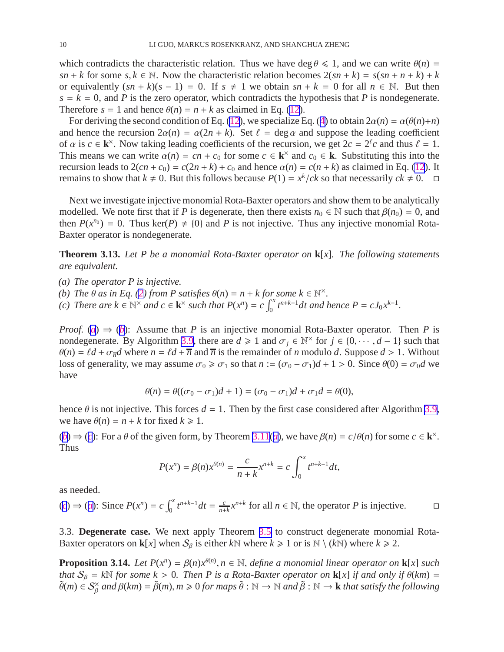<span id="page-10-0"></span>which contradicts the characteristic relation. Thus we have deg  $\theta \le 1$ , and we can write  $\theta(n)$  = *sn* + *k* for some *s*,  $k \in \mathbb{N}$ . Now the characteristic relation becomes  $2(sn + k) = s(sn + n + k) + k$ or equivalently  $(sn + k)(s - 1) = 0$ . If  $s \neq 1$  we obtain  $sn + k = 0$  for all  $n \in \mathbb{N}$ . But then  $s = k = 0$ , and *P* is the zero operator, which contradicts the hypothesis that *P* is nondegenerate. Therefore  $s = 1$  and hence  $\theta(n) = n + k$  as claimed in Eq. ([12\)](#page-8-0).

For deriving the second condition of Eq. [\(12](#page-8-0)), we specialize Eq. ([4\)](#page-4-0) to obtain  $2\alpha(n) = \alpha(\theta(n)+n)$ and hence the recursion  $2\alpha(n) = \alpha(2n + k)$ . Set  $\ell = \deg \alpha$  and suppose the leading coefficient of  $\alpha$  is  $c \in \mathbf{k}^{\times}$ . Now taking leading coefficients of the recursion, we get  $2c = 2^{\ell}c$  and thus  $\ell = 1$ . This means we can write  $\alpha(n) = cn + c_0$  for some  $c \in \mathbf{k}^\times$  and  $c_0 \in \mathbf{k}$ . Substituting this into the recursion leads to  $2(cn + c_0) = c(2n + k) + c_0$  and hence  $\alpha(n) = c(n + k)$  as claimed in Eq. [\(12](#page-8-0)). It remains to show that  $k \neq 0$ . But this follows because  $P(1) = x^k / ck$  so that necessarily  $ck \neq 0$ .  $\Box$ 

Next we investigate injective monomial Rota-Baxter operators and show them to be analytically modelled. We note first that if *P* is degenerate, then there exists  $n_0 \in \mathbb{N}$  such that  $\beta(n_0) = 0$ , and then  $P(x^{n_0}) = 0$ . Thus ker(*P*)  $\neq$  {0} and *P* is not injective. Thus any injective monomial Rota-Baxter operator is nondegenerate.

**Theorem 3.13.** *Let P be a monomial Rota-Baxter operator on* **k**[*x*]*. The following statements are equivalent.*

*(a) The operator P is injective.*

- *(b) The*  $\theta$  *as in Eq. [\(2](#page-3-0)) from P satisfies*  $\theta(n) = n + k$  *for some*  $k \in \mathbb{N}^{\times}$ *.*
- $f(c)$  There are  $k \in \mathbb{N}^{\times}$  and  $c \in \mathbf{k}^{\times}$  such that  $P(x^n) = c \int_0^x t^{n+k-1} dt$  and hence  $P = cJ_0 x^{k-1}$ .

*Proof.* (*[a](#page-9-0)*)  $\Rightarrow$  (*[b](#page-9-0)*): Assume that *P* is an injective monomial Rota-Baxter operator. Then *P* is nondegenerate. By Algorithm [3.9](#page-7-0), there are  $d \ge 1$  and  $\sigma_j \in \mathbb{N}^\times$  for  $j \in \{0, \dots, d-1\}$  such that  $\theta(n) = \ell d + \sigma_{\overline{n}} d$  where  $n = \ell d + \overline{n}$  and  $\overline{n}$  is the remainder of *n* modulo *d*. Suppose  $d > 1$ . Without loss of generality, we may assume  $\sigma_0 \ge \sigma_1$  so that  $n := (\sigma_0 - \sigma_1)d + 1 > 0$ . Since  $\theta(0) = \sigma_0d$  we have

$$
\theta(n) = \theta((\sigma_0 - \sigma_1)d + 1) = (\sigma_0 - \sigma_1)d + \sigma_1d = \theta(0),
$$

hence  $\theta$  is not injective. This forces  $d = 1$ . Then by the first case considered after Algorithm [3.9](#page-7-0), we have  $\theta(n) = n + k$  for fixed  $k \ge 1$ .

(*[b](#page-9-0)*) ⇒ (*[c](#page-9-0)*): For [a](#page-7-0)  $\theta$  of the given form, by Theorem [3.11\(](#page-7-0)*a*), we have  $\beta(n) = c/\theta(n)$  for some  $c \in \mathbf{k}^{\times}$ . Thus

$$
P(x^n) = \beta(n)x^{\theta(n)} = \frac{c}{n+k}x^{n+k} = c \int_0^x t^{n+k-1}dt,
$$

as needed.

(*[c](#page-9-0)*) ⇒ (*[a](#page-9-0)*): Since  $P(x^n) = c \int_0^x t^{n+k-1} dt = \frac{c}{n+1}$  $\frac{c}{n+k}x^{n+k}$  for all  $n \in \mathbb{N}$ , the operator *P* is injective.  $\Box$ 

3.3. **Degenerate case.** We next apply Theorem [3.5](#page-5-0) to construct degenerate monomial Rota-Baxter operators on **k**[*x*] when  $S_\beta$  is either *k*N where  $k \ge 1$  or is N \ (*k*N) where  $k \ge 2$ .

**Proposition 3.14.** *Let*  $P(x^n) = \beta(n)x^{\theta(n)}$ ,  $n \in \mathbb{N}$ , *define a monomial linear operator on* **k**[*x*] *such that*  $S_\beta = k\mathbb{N}$  *for some*  $k > 0$ *. Then P is a Rota-Baxter operator on* **k**[*x*] *if and only if*  $\theta(km) =$  $\widetilde{\theta}(m) \in S_\beta^\times$  and  $\beta(km) = \widetilde{\beta}(m)$ ,  $m \geqslant 0$  for maps  $\widetilde{\theta}: \mathbb{N} \to \mathbb{N}$  and  $\widetilde{\beta}: \mathbb{N} \to \mathbf{k}$  that satisfy the following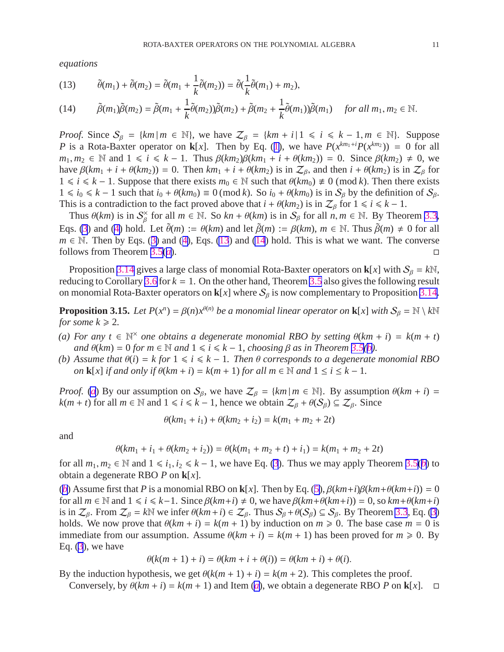<span id="page-11-0"></span>*equations*

(13) 
$$
\tilde{\theta}(m_1) + \tilde{\theta}(m_2) = \tilde{\theta}(m_1 + \frac{1}{k}\tilde{\theta}(m_2)) = \tilde{\theta}(\frac{1}{k}\tilde{\theta}(m_1) + m_2),
$$
\n(14) 
$$
\tilde{\theta}(m_1) \tilde{\theta}(m_2) = \tilde{\theta}(m_1 + \frac{1}{k}\tilde{\theta}(m_2))\tilde{\theta}(m_1) + \tilde{\theta}(m_2 + \frac{1}{k}\tilde{\theta}(m_2))\tilde{\theta}(m_2) + \tilde{\theta}(m_2 + \frac{1}{k}\tilde{\theta}(m_2))\tilde{\theta}(m_2)
$$
 for all  $m \in \mathbb{N}$ 

(14) 
$$
\tilde{\beta}(m_1)\tilde{\beta}(m_2) = \tilde{\beta}(m_1 + \frac{1}{k}\tilde{\theta}(m_2))\tilde{\beta}(m_2) + \tilde{\beta}(m_2 + \frac{1}{k}\tilde{\theta}(m_1))\tilde{\beta}(m_1) \text{ for all } m_1, m_2 \in \mathbb{N}.
$$

*Proof.* Since  $S_\beta = \{km \mid m \in \mathbb{N}\}\$ , we have  $\mathcal{Z}_\beta = \{km + i \mid 1 \le i \le k - 1, m \in \mathbb{N}\}\$ . Suppose *P* is a Rota-Baxter operator on **k**[*x*]. Then by Eq. ([1\)](#page-2-0), we have  $P(x^{km_1+i}P(x^{km_2})) = 0$  for all *m*<sub>1</sub>,  $m_2$  ∈ N and 1 ≤ *i* ≤ *k* − 1. Thus  $\beta(km_2)\beta(km_1 + i + \theta(km_2)) = 0$ . Since  $\beta(km_2) \neq 0$ , we have  $\beta(km_1 + i + \theta(km_2)) = 0$ . Then  $km_1 + i + \theta(km_2)$  is in  $\mathcal{Z}_{\beta}$ , and then  $i + \theta(km_2)$  is in  $\mathcal{Z}_{\beta}$  for  $1 \le i \le k - 1$ . Suppose that there exists  $m_0 \in \mathbb{N}$  such that  $\theta(km_0) \neq 0 \pmod{k}$ . Then there exists  $1 \le i_0 \le k - 1$  such that  $i_0 + \theta(km_0) \equiv 0 \pmod{k}$ . So  $i_0 + \theta(km_0)$  is in S<sub>β</sub> by the definition of S<sub>β</sub>. This is a contradiction to the fact proved above that  $i + \theta(km_2)$  is in  $\mathcal{Z}_{\beta}$  for  $1 \le i \le k - 1$ .

Thus  $\theta(km)$  is in  $S_\beta^{\times}$  for all  $m \in \mathbb{N}$ . So  $kn + \theta(km)$  is in  $S_\beta$  for all  $n, m \in \mathbb{N}$ . By Theorem [3.3](#page-4-0), Eqs. [\(3](#page-4-0)) and ([4\)](#page-4-0) hold. Let  $\tilde{\theta}(m) := \theta(km)$  and let  $\tilde{\beta}(m) := \beta(km)$ ,  $m \in \mathbb{N}$ . Thus  $\tilde{\beta}(m) \neq 0$  for all *m*  $\in$  N. Then by Eqs. ([3\)](#page-4-0) and ([4\)](#page-4-0), Eqs. [\(13](#page-10-0)) and [\(14](#page-10-0)) hold. This is what we want. The converse follows from Theorem 3.5(*a*). follows from Theorem [3.5\(](#page-5-0)*[a](#page-5-0)*).

Proposition [3.14](#page-10-0) gives a large class of monomial Rota-Baxter operators on **k**[*x*] with  $S_\beta = k\mathbb{N}$ , reducing to Corollary [3.6](#page-5-0) for  $k = 1$ . On the other hand, Theorem [3.5](#page-5-0) also gives the following result on monomial Rota-Baxter operators on  $\mathbf{k}[x]$  where  $\mathcal{S}_{\beta}$  is now complementary to Proposition [3.14](#page-10-0).

**Proposition 3.15.** *Let*  $P(x^n) = \beta(n)x^{\theta(n)}$  *be a monomial linear operator on* **k**[*x*] *with*  $S_\beta = \mathbb{N} \setminus k\mathbb{N}$ *for some*  $k \ge 2$ *.* 

- (*a*) For any *t* ∈  $\mathbb{N}^{\times}$  one obtains a degenerate monomial RBO by setting  $\theta(km + i) = k(m + t)$  $\alpha$ *nd*  $\theta$ (*km*) = 0 *for m*  $\in$  N *and*  $1 \le i \le k - 1$ *, choosing*  $\beta$  *as in Theorem* 3.5(*b*)*.*
- *(b)* Assume that  $\theta(i) = k$  for  $1 \le i \le k 1$ . Then  $\theta$  corresponds to a degenerate monomial RBO *on* **k**[*x*] *if and only if*  $\theta(km + i) = k(m + 1)$  *for all*  $m \in \mathbb{N}$  *and*  $1 \le i \le k - 1$ *.*

*Proof.* (*[a](#page-10-0)*) By our assumption on  $S_\beta$ , we have  $Z_\beta = \{km \mid m \in \mathbb{N}\}\$ . By assumption  $\theta(km + i) =$  $k(m + t)$  for all  $m \in \mathbb{N}$  and  $1 \le i \le k - 1$ , hence we obtain  $\mathcal{Z}_{\beta} + \theta(\mathcal{S}_{\beta}) \subseteq \mathcal{Z}_{\beta}$ . Since

$$
\theta(km_1 + i_1) + \theta(km_2 + i_2) = k(m_1 + m_2 + 2t)
$$

and

$$
\theta(km_1 + i_1 + \theta(km_2 + i_2)) = \theta(k(m_1 + m_2 + t) + i_1) = k(m_1 + m_2 + 2t)
$$

for all  $m_1, m_2 \in \mathbb{N}$  $m_1, m_2 \in \mathbb{N}$  $m_1, m_2 \in \mathbb{N}$  and  $1 \le i_1, i_2 \le k - 1$ , we have Eq. [\(3](#page-4-0)). Thus we may apply Theorem [3.5\(](#page-5-0)*b*) to obtain a degenerate RBO *P* on **k**[*x*].

(*[b](#page-10-0)*) Assume first that *P* is a monomial RBO on **k**[*x*]. Then by Eq. ([5\)](#page-4-0),  $\beta(km+i)\beta(km+\theta(km+i)) = 0$ for all  $m \in \mathbb{N}$  and  $1 \le i \le k-1$ . Since  $\beta(km+i) \ne 0$ , we have  $\beta(km+\theta(km+i)) = 0$ , so  $km+\theta(km+i)$ is in  $\mathcal{Z}_{\beta}$ . From  $\mathcal{Z}_{\beta} = k\mathbb{N}$  we infer  $\theta(km+i) \in \mathcal{Z}_{\beta}$ . Thus  $\mathcal{S}_{\beta} + \theta(\mathcal{S}_{\beta}) \subseteq \mathcal{S}_{\beta}$ . By Theorem [3.3](#page-4-0), Eq. [\(3](#page-4-0)) holds. We now prove that  $\theta(km + i) = k(m + 1)$  by induction on  $m \ge 0$ . The base case  $m = 0$  is immediate from our assumption. Assume  $\theta(km + i) = k(m + 1)$  has been proved for  $m \ge 0$ . By Eq.  $(3)$  $(3)$ , we have

$$
\theta(k(m+1)+i) = \theta(km+i+\theta(i)) = \theta(km+i) + \theta(i).
$$

By the induction hypothesis, we get  $\theta(k(m + 1) + i) = k(m + 2)$ . This completes the proof.

Conversely, by  $\theta(km + i) = k(m + 1)$  $\theta(km + i) = k(m + 1)$  $\theta(km + i) = k(m + 1)$  and Item (*a*), we obtain a degenerate RBO *P* on **k**[*x*].  $\Box$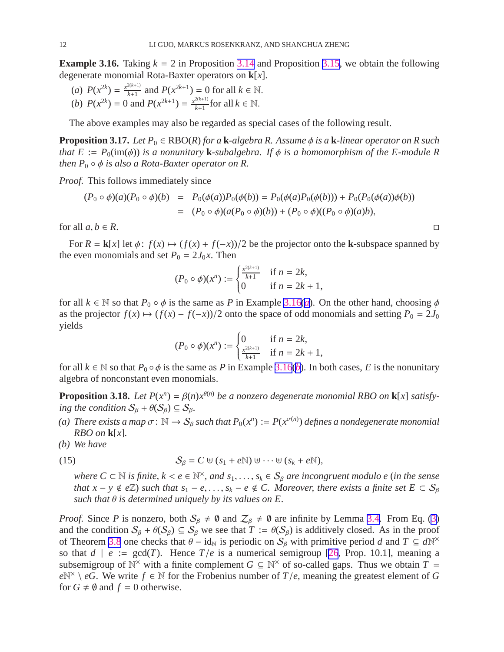<span id="page-12-0"></span>**Example 3.16.** Taking  $k = 2$  in Proposition [3.14](#page-10-0) and Proposition [3.15,](#page-10-0) we obtain the following degenerate monomial Rota-Baxter operators on **k**[*x*].

(*a*)  $P(x^{2k}) = \frac{x^{2(k+1)}}{k+1}$  $\frac{2(k+1)}{k+1}$  and  $P(x^{2k+1}) = 0$  for all  $k \in \mathbb{N}$ . (*b*)  $P(x^{2k}) = 0$  and  $P(x^{2k+1}) = \frac{x^{2(k+1)}}{k+1}$  $\frac{f(x+1)}{k+1}$  for all  $k \in \mathbb{N}$ .

The above examples may also be regarded as special cases of the following result.

**Proposition 3.17.** *Let*  $P_0 \in RBO(R)$  *for a* **k**-algebra R. Assume  $\phi$  *is a* **k**-linear operator on R such *that*  $E := P_0(\text{im}(\phi))$  *is a nonunitary* **k**-subalgebra. If  $\phi$  *is a homomorphism of the E-module* R *then*  $P_0 \circ \phi$  *is also a Rota-Baxter operator on R.* 

*Proof.* This follows immediately since

$$
(P_0 \circ \phi)(a)(P_0 \circ \phi)(b) = P_0(\phi(a))P_0(\phi(b)) = P_0(\phi(a)P_0(\phi(b))) + P_0(P_0(\phi(a))\phi(b))
$$
  
= 
$$
(P_0 \circ \phi)(a(P_0 \circ \phi)(b)) + (P_0 \circ \phi)((P_0 \circ \phi)(a)b),
$$

for all  $a, b \in R$ .

For  $R = \mathbf{k}[x]$  let  $\phi: f(x) \mapsto (f(x) + f(-x))/2$  be the projector onto the **k**-subspace spanned by the even monomials and set  $P_0 = 2J_0x$ . Then

$$
(P_0 \circ \phi)(x^n) := \begin{cases} \frac{x^{2(k+1)}}{k+1} & \text{if } n = 2k, \\ 0 & \text{if } n = 2k+1, \end{cases}
$$

for [a](#page-11-0)ll  $k \in \mathbb{N}$  so that  $P_0 \circ \phi$  is the same as *P* in Example [3.16](#page-11-0)(*a*). On the other hand, choosing  $\phi$ as the projector  $f(x) \mapsto (f(x) - f(-x))/2$  onto the space of odd monomials and setting  $P_0 = 2J_0$ yields

$$
(P_0 \circ \phi)(x^n) := \begin{cases} 0 & \text{if } n = 2k, \\ \frac{x^{2(k+1)}}{k+1} & \text{if } n = 2k+1, \end{cases}
$$

for all  $k \in \mathbb{N}$  $k \in \mathbb{N}$  $k \in \mathbb{N}$  so that  $P_0 \circ \phi$  is the same as *P* in Example [3.16](#page-11-0)(*b*). In both cases, *E* is the nonunitary algebra of nonconstant even monomials.

**Proposition 3.18.** Let  $P(x^n) = \beta(n)x^{\theta(n)}$  be a nonzero degenerate monomial RBO on **k**[x] satisfy*ing the condition*  $S_\beta + \theta(S_\beta) \subseteq S_\beta$ .

- (a) There exists a map  $\sigma: \mathbb{N} \to S_\beta$  such that  $P_0(x^n) := P(x^{\sigma(n)})$  defines a nondegenerate monomial *RBO on* **k**[*x*]*.*
- *(b) We have*

(15) 
$$
\mathcal{S}_{\beta} = C \uplus (s_1 + e\mathbb{N}) \uplus \cdots \uplus (s_k + e\mathbb{N}),
$$

 $where C ⊂ N is finite, k < e ∈ N<sup>×</sup>, and s<sub>1</sub>,..., s<sub>k</sub> ∈ S<sub>β</sub> are incongruent modulo e (in the sense)$ *that*  $x - y \notin e\mathbb{Z}$ ) such that  $s_1 - e, \ldots, s_k - e \notin C$ . Moreover, there exists a finite set  $E \subset S_\beta$ *such that* θ *is determined uniquely by its values on E.*

*Proof.* Since *P* is nonzero, both  $S_\beta \neq \emptyset$  and  $Z_\beta \neq \emptyset$  are infinite by Lemma [3.4](#page-4-0). From Eq. [\(3](#page-4-0)) and the condition  $S_\beta + \theta(S_\beta) \subseteq S_\beta$  we see that  $T := \theta(S_\beta)$  is additively closed. As in the proof of Theorem [3.8](#page-6-0) one checks that  $\theta - id_N$  is periodic on  $S_\beta$  with primitive period *d* and  $T \subseteq dN^\times$ so that  $d \mid e := \text{gcd}(T)$ . Hence  $T/e$  is a numerical semigroup [\[26](#page-19-0), Prop. 10.1], meaning a subsemigroup of  $\mathbb{N}^{\times}$  with a finite complement *G* ⊆  $\mathbb{N}^{\times}$  of so-called gaps. Thus we obtain *T* =  $e^{\mathbb{N}^{\times}} \setminus eG$ . We write  $f \in \mathbb{N}$  for the Frobenius number of *T*/*e*, meaning the greatest element of *G* for  $G \neq \emptyset$  and  $f = 0$  otherwise.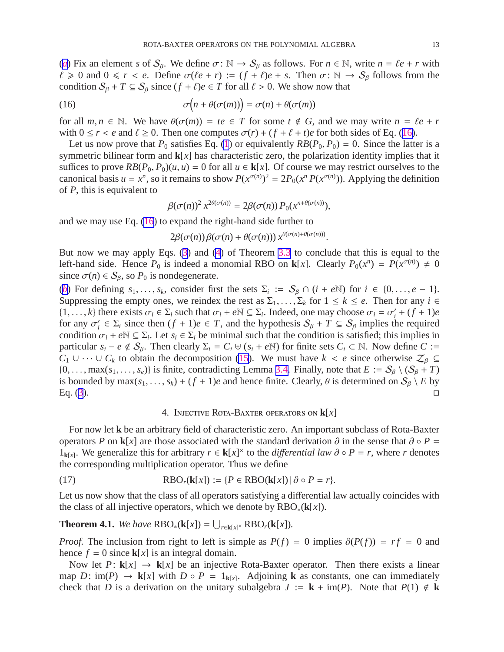<span id="page-13-0"></span>(*[a](#page-11-0)*) Fix an element *s* of  $S_\beta$ . We define  $\sigma: \mathbb{N} \to S_\beta$  as follows. For  $n \in \mathbb{N}$ , write  $n = \ell e + r$  with  $\ell \ge 0$  and  $0 \le r < e$ . Define  $\sigma(\ell e + r) := (f + \ell)e + s$ . Then  $\sigma$ : ℕ → S<sub>β</sub> follows from the condition  $S_\beta + T \subseteq S_\beta$  since  $(f + \ell)e \in T$  for all  $\ell > 0$ . We show now that

(16) 
$$
\sigma\big(n+\theta(\sigma(m))\big)=\sigma(n)+\theta(\sigma(m))
$$

for all  $m, n \in \mathbb{N}$ . We have  $\theta(\sigma(m)) = te \in T$  for some  $t \notin G$ , and we may write  $n = \ell e + r$ with  $0 \le r < e$  and  $\ell \ge 0$ . Then one computes  $\sigma(r) + (f + \ell + t)e$  for both sides of Eq. ([16\)](#page-12-0).

Let us now prove that  $P_0$  satisfies Eq. [\(1](#page-2-0)) or equivalently  $RB(P_0, P_0) = 0$ . Since the latter is a symmetric bilinear form and **k**[*x*] has characteristic zero, the polarization identity implies that it suffices to prove  $RB(P_0, P_0)(u, u) = 0$  for all  $u \in \mathbf{k}[x]$ . Of course we may restrict ourselves to the canonical basis  $u = x^n$ , so it remains to show  $P(x^{\sigma(n)})^2 = 2P_0(x^n P(x^{\sigma(n)}))$ . Applying the definition of *P*, this is equivalent to

$$
\beta(\sigma(n))^2 x^{2\theta(\sigma(n))} = 2\beta(\sigma(n)) P_0(x^{n+\theta(\sigma(n))}),
$$

and we may use Eq. ([16\)](#page-12-0) to expand the right-hand side further to

$$
2\beta(\sigma(n))\beta(\sigma(n)+\theta(\sigma(n))) x^{\theta(\sigma(n)+\theta(\sigma(n)))}.
$$

But now we may apply Eqs. [\(3](#page-4-0)) and [\(4](#page-4-0)) of Theorem [3.3](#page-4-0) to conclude that this is equal to the left-hand side. Hence  $P_0$  is indeed a monomial RBO on **k**[x]. Clearly  $P_0(x^n) = P(x^{\sigma(n)}) \neq 0$ since  $\sigma(n) \in S_\beta$ , so  $P_0$  is nondegenerate.

(*[b](#page-11-0)*) For defining  $s_1, \ldots, s_k$ , consider first the sets  $\Sigma_i := \mathcal{S}_{\beta} \cap (i + e\mathbb{N})$  for  $i \in \{0, \ldots, e-1\}$ . Suppressing the empty ones, we reindex the rest as  $\Sigma_1, \ldots, \Sigma_k$  for  $1 \leq k \leq e$ . Then for any  $i \in$  $\{1, \ldots, k\}$  there exists  $\sigma_i \in \Sigma_i$  such that  $\sigma_i + e \mathbb{N} \subseteq \Sigma_i$ . Indeed, one may choose  $\sigma_i = \sigma'_i + (f + 1)e$ for any  $\sigma'_i \in \Sigma_i$  since then  $(f + 1)e \in T$ , and the hypothesis  $S_\beta + T \subseteq S_\beta$  implies the required condition  $\sigma_i + e^{\mathbb{N}} \subseteq \Sigma_i$ . Let  $s_i \in \Sigma_i$  be minimal such that the condition is satisfied; this implies in particular  $s_i - e \notin S_\beta$ . Then clearly  $\Sigma_i = C_i \cup (s_i + e\mathbb{N})$  for finite sets  $C_i \subset \mathbb{N}$ . Now define  $C :=$  $C_1 \cup \cdots \cup C_k$  to obtain the decomposition [\(15](#page-11-0)). We must have  $k < e$  since otherwise  $\mathcal{Z}_{\beta} \subseteq$  $\{0, \ldots, \max(s_1, \ldots, s_e)\}\$ is finite, contradicting Lemma [3.4.](#page-4-0) Finally, note that  $E := \mathcal{S}_{\beta} \setminus (\mathcal{S}_{\beta} + T)$ is bounded by max( $s_1, \ldots, s_k$ ) + ( $f$  + 1)*e* and hence finite. Clearly,  $\theta$  is determined on  $S_\beta \setminus E$  by  $\Box$ Eq. [\(3](#page-4-0)).

#### 4. Injective Rota-Baxter operators on **k**[*x*]

For now let **k** be an arbitrary field of characteristic zero. An important subclass of Rota-Baxter operators *P* on **k**[*x*] are those associated with the standard derivation  $\partial$  in the sense that  $\partial \circ P =$ 1<sub>**k**[*x*]</sub>. We generalize this for arbitrary *r* ∈ **k**[*x*]<sup>×</sup> to the *differential law* ∂ ∘ *P* = *r*, where *r* denotes the corresponding multiplication operator. Thus we define

(17) 
$$
RBO_r(\mathbf{k}[x]) := \{ P \in RBO(\mathbf{k}[x]) \mid \partial \circ P = r \}.
$$

Let us now show that the class of all operators satisfying a differential law actually coincides with the class of all injective operators, which we denote by RBO∗(**k**[*x*]).

**Theorem 4.1.** *We have*  $RBO_*(\mathbf{k}[x]) = \bigcup_{r \in \mathbf{k}[x]^{\times}} RBO_r(\mathbf{k}[x])$ *.* 

*Proof.* The inclusion from right to left is simple as  $P(f) = 0$  implies  $\partial(P(f)) = rf = 0$  and hence  $f = 0$  since  $\mathbf{k}[x]$  is an integral domain.

Now let  $P: \mathbf{k}[x] \to \mathbf{k}[x]$  be an injective Rota-Baxter operator. Then there exists a linear map  $D: \text{im}(P) \to \mathbf{k}[x]$  with  $D \circ P = 1_{\mathbf{k}[x]}$ . Adjoining **k** as constants, one can immediately check that *D* is a derivation on the unitary subalgebra  $J := \mathbf{k} + \text{im}(P)$ . Note that  $P(1) \notin \mathbf{k}$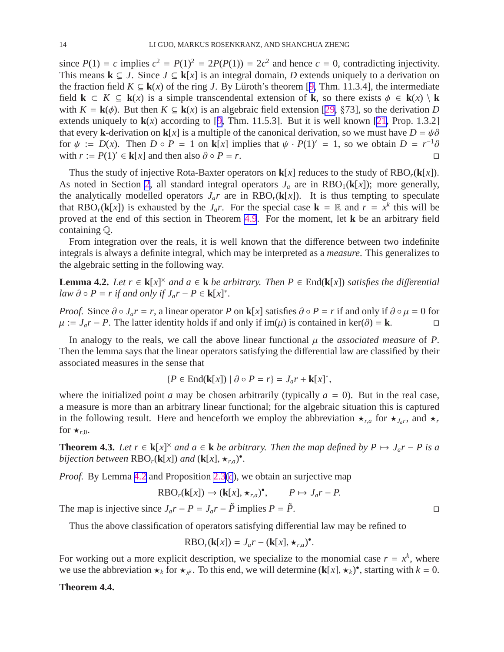<span id="page-14-0"></span>since  $P(1) = c$  implies  $c^2 = P(1)^2 = 2P(P(1)) = 2c^2$  and hence  $c = 0$ , contradicting injectivity. This means  $\mathbf{k} \subsetneq J$ . Since  $J \subseteq \mathbf{k}[x]$  is an integral domain, *D* extends uniquely to a derivation on the fraction field  $K \subseteq \mathbf{k}(x)$  of the ring *J*. By Lüroth's theorem [[9,](#page-18-0) Thm. 11.3.4], the intermediate field **k**  $\subset K \subseteq \mathbf{k}(x)$  is a simple transcendental extension of **k**, so there exists  $\phi \in \mathbf{k}(x) \setminus \mathbf{k}$ with  $K = k(\phi)$ . But then  $K \subseteq k(x)$  is an algebraic field extension [[29,](#page-19-0) §73], so the derivation *D* extends uniquely to  $\mathbf{k}(x)$  according to [[9,](#page-18-0) Thm. 11.5.3]. But it is well known [[21,](#page-19-0) Prop. 1.3.2] that every **k**-derivation on **k**[*x*] is a multiple of the canonical derivation, so we must have  $D = \psi \partial$ for  $\psi := D(x)$ . Then  $D \circ P = 1$  on **k**[*x*] implies that  $\psi \cdot P(1)' = 1$ , so we obtain  $D = r^{-1}\partial$ with  $r := P(1)' \in \mathbf{k}[x]$  and then also  $\partial \circ P = r$ .

Thus the study of injective Rota-Baxter operators on  $\mathbf{k}[x]$  reduces to the study of  $RBO_r(\mathbf{k}[x])$ . As noted in Section [2](#page-1-0), all standard integral operators  $J_a$  are in  $RBO_1(k[x])$ ; more generally, the analytically modelled operators  $J_a r$  are in  $RBO_r(k[x])$ . It is thus tempting to speculate that RBO<sub>*r*</sub>( $\mathbf{k}[x]$ ) is exhausted by the *J<sub>a</sub>r*. For the special case  $\mathbf{k} = \mathbb{R}$  and  $r = x^k$  this will be proved at the end of this section in Theorem [4.9](#page-15-0). For the moment, let **k** be an arbitrary field containing Q.

From integration over the reals, it is well known that the difference between two indefinite integrals is always a definite integral, which may be interpreted as a *measure*. This generalizes to the algebraic setting in the following way.

**Lemma 4.2.** *Let*  $r \in k[x]^{\times}$  *and*  $a \in k$  *be arbitrary. Then*  $P \in End(k[x])$  *satisfies the differential law*  $\partial \circ P = r$  *if and only if*  $J_a r - P \in \mathbf{k}[x]^*$ *.* 

*Proof.* Since  $\partial \circ J_a r = r$ , a linear operator *P* on **k**[*x*] satisfies  $\partial \circ P = r$  if and only if  $\partial \circ \mu = 0$  for  $\mu := J_a r - P$ . The latter identity holds if and only if im(*u*) is contained in ker( $\partial$ ) = **k**.  $\mu := J_a r - P$ . The latter identity holds if and only if im( $\mu$ ) is contained in ker( $\partial$ ) = **k**.

In analogy to the reals, we call the above linear functional  $\mu$  the *associated measure* of *P*. Then the lemma says that the linear operators satisfying the differential law are classified by their associated measures in the sense that

$$
\{P \in \text{End}(\mathbf{k}[x]) \mid \partial \circ P = r\} = J_a r + \mathbf{k}[x]^*,
$$

where the initialized point *a* may be chosen arbitrarily (typically  $a = 0$ ). But in the real case, a measure is more than an arbitrary linear functional; for the algebraic situation this is captured in the following result. Here and henceforth we employ the abbreviation  $\star_{r,a}$  for  $\star_{J_a r}$ , and  $\star_r$ for  $\star_{r,0}$ .

**Theorem 4.3.** *Let*  $r \in k[x]^{\times}$  *and*  $a \in k$  *be arbitrary. Then the map defined by*  $P \mapsto J_a r - P$  *is a bijection between*  $RBO_r(k[x])$  *and*  $(k[x], \star_{r,a})^{\bullet}$ *.* 

*Proof.* By Lemma [4.2](#page-13-0) and Proposition [2.3](#page-3-0)(*[c](#page-3-0)*), we obtain an surjective map

$$
RBO_r(\mathbf{k}[x]) \to (\mathbf{k}[x], \star_{r,a})^{\bullet}, \qquad P \mapsto J_a r - P.
$$

The map is injective since  $J_a r - P = J_a r - \tilde{P}$  implies  $P = \tilde{P}$ .

Thus the above classification of operators satisfying differential law may be refined to

$$
RBO_r(\mathbf{k}[x]) = J_a r - (\mathbf{k}[x], \star_{r,a})^{\bullet}.
$$

For working out a more explicit description, we specialize to the monomial case  $r = x^k$ , where we use the abbreviation  $\star_k$  for  $\star_{x^k}$ . To this end, we will determine  $(\mathbf{k}[x], \star_k)$ <sup>\*</sup>, starting with  $k = 0$ .

#### **Theorem 4.4.**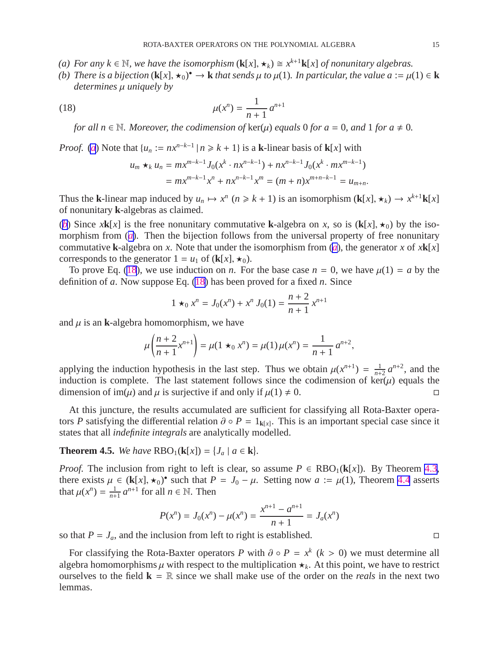- <span id="page-15-0"></span>*(a)* For any  $k \in \mathbb{N}$ , we have the isomorphism  $(\mathbf{k}[x], \star_k) \cong x^{k+1} \mathbf{k}[x]$  of nonunitary algebras.
- *(b)* There is a bijection  $(\mathbf{k}[x], \star_0)^\bullet \to \mathbf{k}$  that sends  $\mu$  to  $\mu(1)$ . In particular, the value  $a := \mu(1) \in \mathbf{k}$ *determines* µ *uniquely by*

(18) 
$$
\mu(x^n) = \frac{1}{n+1} a^{n+1}
$$

*for all*  $n \in \mathbb{N}$ *. Moreover, the codimension of*  $\ker(\mu)$  *equals* 0 *for*  $a = 0$ *, and* 1 *for*  $a \neq 0$ *.* 

*Proof.* (*[a](#page-14-0)*) Note that  $\{u_n := nx^{n-k-1} | n \ge k+1\}$  is a **k**-linear basis of **k**[*x*] with

$$
u_m \star_k u_n = mx^{m-k-1} J_0(x^k \cdot nx^{n-k-1}) + nx^{n-k-1} J_0(x^k \cdot mx^{m-k-1})
$$
  
=  $mx^{m-k-1} x^n + nx^{n-k-1} x^m = (m+n)x^{m+n-k-1} = u_{m+n}.$ 

Thus the **k**-linear map induced by  $u_n \mapsto x^n$   $(n \ge k + 1)$  is an isomorphism  $(\mathbf{k}[x], \star_k) \to x^{k+1}\mathbf{k}[x]$ of nonunitary **k**-algebras as claimed.

(*[b](#page-14-0)*) Since *x***k**[*x*] is the free nonunitary commutative **k**-algebra on *x*, so is (**k**[*x*],  $\star$ <sub>0</sub>) by the isomorphism from (*[a](#page-14-0)*). Then the bijection follows from the universal property of free nonunitary commut[a](#page-14-0)tive **k**-algebra on *x*. Note that under the isomorphism from  $(a)$ , the generator *x* of  $x$ **k**[*x*] corresponds to the generator  $1 = u_1$  of  $(k[x], \star_0)$ .

To prove Eq. [\(18](#page-14-0)), we use induction on *n*. For the base case  $n = 0$ , we have  $\mu(1) = a$  by the definition of *a*. Now suppose Eq. [\(18](#page-14-0)) has been proved for a fixed *n*. Since

$$
1 \star_0 x^n = J_0(x^n) + x^n J_0(1) = \frac{n+2}{n+1} x^{n+1}
$$

and  $\mu$  is an **k**-algebra homomorphism, we have

$$
\mu\left(\frac{n+2}{n+1}x^{n+1}\right) = \mu(1 \star_0 x^n) = \mu(1)\mu(x^n) = \frac{1}{n+1}a^{n+2},
$$

applying the induction hypothesis in the last step. Thus we obtain  $\mu(x^{n+1}) = \frac{1}{n+1}$  $\frac{1}{n+2}$   $a^{n+2}$ , and the induction is complete. The last statement follows since the codimension of  $\ker(\mu)$  equals the dimension of im( $\mu$ ) and  $\mu$  is surjective if and only if  $\mu(1) \neq 0$ .

At this juncture, the results accumulated are sufficient for classifying all Rota-Baxter operators *P* satisfying the differential relation  $\partial \circ P = 1_{k[x]}$ . This is an important special case since it states that all *indefinite integrals* are analytically modelled.

### **Theorem 4.5.** *We have*  $RBO_1(k[x]) = \{J_a | a \in k\}.$

*Proof.* The inclusion from right to left is clear, so assume  $P \in RBO_1(k[x])$ . By Theorem [4.3](#page-13-0), there exists  $\mu \in (\mathbf{k}[x], \star_0)$  such that  $P = J_0 - \mu$ . Setting now  $a := \mu(1)$ , Theorem [4.4](#page-14-0) asserts that  $\mu(x^n) = \frac{1}{n+1}$  $\frac{1}{n+1}$  *a*<sup>*n*+1</sup> for all *n* ∈ N. Then

$$
P(x^n) = J_0(x^n) - \mu(x^n) = \frac{x^{n+1} - a^{n+1}}{n+1} = J_a(x^n)
$$

so that  $P = J_a$ , and the inclusion from left to right is established.

For classifying the Rota-Baxter operators *P* with  $\partial \circ P = x^k$  ( $k > 0$ ) we must determine all algebra homomorphisms  $\mu$  with respect to the multiplication  $\star_k$ . At this point, we have to restrict ourselves to the field  $\mathbf{k} = \mathbb{R}$  since we shall make use of the order on the *reals* in the next two lemmas.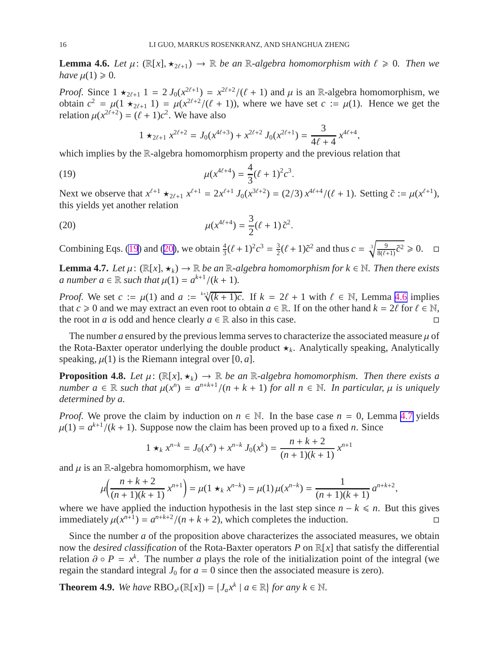<span id="page-16-0"></span>**Lemma 4.6.** *Let*  $\mu$ : ( $\mathbb{R}[x], \star_{2\ell+1}$ )  $\rightarrow \mathbb{R}$  *be an*  $\mathbb{R}$ *-algebra homomorphism with*  $\ell \geq 0$ *. Then we have*  $\mu(1) \geq 0$ *.* 

*Proof.* Since  $1 \star_{2\ell+1} 1 = 2 J_0(x^{2\ell+1}) = x^{2\ell+2}/(\ell+1)$  and  $\mu$  is an R-algebra homomorphism, we obtain  $c^2 = \mu(1 \star_{2\ell+1} 1) = \mu(x^{2\ell+2}/(\ell+1))$ , where we have set  $c := \mu(1)$ . Hence we get the relation  $\mu(x^{2\ell+2}) = (\ell+1)c^2$ . We have also

$$
1 \star_{2\ell+1} x^{2\ell+2} = J_0(x^{4\ell+3}) + x^{2\ell+2} J_0(x^{2\ell+1}) = \frac{3}{4\ell+4} x^{4\ell+4}
$$

,

,

which implies by the R-algebra homomorphism property and the previous relation that

(19) 
$$
\mu(x^{4\ell+4}) = \frac{4}{3}(\ell+1)^2 c^3
$$

Next we observe that  $x^{\ell+1} \star_{2\ell+1} x^{\ell+1} = 2x^{\ell+1} J_0(x^{3\ell+2}) = (2/3) x^{4\ell+4}/(\ell+1)$ . Setting  $\tilde{c} := \mu(x^{\ell+1})$ , this yields yet another relation

.

(20) 
$$
\mu(x^{4\ell+4}) = \frac{3}{2}(\ell+1)\tilde{c}^2.
$$

Combining Eqs. [\(19](#page-15-0)) and ([20\)](#page-15-0), we obtain  $\frac{4}{3}(l+1)^2c^3 = \frac{3}{2}$  $\frac{3}{2}(\ell+1)\tilde{c}^2$  and thus  $c = \sqrt[3]{\frac{9}{8(\ell+1)}\tilde{c}^2} \ge 0$ .  $\Box$ 

**Lemma 4.7.** *Let*  $\mu$ : ( $\mathbb{R}[x], \star_k$ )  $\to \mathbb{R}$  *be an*  $\mathbb{R}$ *-algebra homomorphism for*  $k \in \mathbb{N}$ *. Then there exists a* number  $a \in \mathbb{R}$  such that  $\mu(1) = a^{k+1} / (k+1)$ .

*Proof.* We set  $c := \mu(1)$  and  $a := \sqrt[k+1]{(k+1)c}$ . If  $k = 2\ell + 1$  with  $\ell \in \mathbb{N}$ , Lemma [4.6](#page-15-0) implies that *c* ≥ 0 and we may extract an even root to obtain *a* ∈ R. If on the other hand  $k = 2\ell$  for  $\ell \in \mathbb{N}$ , the root in *a* is odd and hence clearly *a* ∈ R also in this case. the root in *a* is odd and hence clearly  $a \in \mathbb{R}$  also in this case.

The number  $a$  ensured by the previous lemma serves to characterize the associated measure  $\mu$  of the Rota-Baxter operator underlying the double product ⋆*<sup>k</sup>* . Analytically speaking, Analytically speaking,  $\mu(1)$  is the Riemann integral over [0, *a*].

**Proposition 4.8.** *Let*  $\mu$ : ( $\mathbb{R}[x], \star_k$ )  $\to \mathbb{R}$  *be an*  $\mathbb{R}$ *-algebra homomorphism. Then there exists a*  $number \ a \in \mathbb{R} \ such \ that \ \mu(x^n) = a^{n+k+1}/(n+k+1) \ for \ all \ n \in \mathbb{N} \.$  In particular,  $\mu$  is uniquely *determined by a.*

*Proof.* We prove the claim by induction on  $n \in \mathbb{N}$ . In the base case  $n = 0$ , Lemma [4.7](#page-15-0) yields  $\mu(1) = a^{k+1}/(k+1)$ . Suppose now the claim has been proved up to a fixed *n*. Since

$$
1 \star_k x^{n-k} = J_0(x^n) + x^{n-k} J_0(x^k) = \frac{n+k+2}{(n+1)(k+1)} x^{n+1}
$$

and  $\mu$  is an R-algebra homomorphism, we have

$$
\mu\left(\frac{n+k+2}{(n+1)(k+1)}x^{n+1}\right) = \mu(1 \star_k x^{n-k}) = \mu(1)\mu(x^{n-k}) = \frac{1}{(n+1)(k+1)}a^{n+k+2}
$$

where we have applied the induction hypothesis in the last step since *n* − *k* ≤ *n*. But this gives immediately  $u(x^{n+1}) = a^{n+k+2}/(n + k + 2)$ , which completes the induction. immediately  $\mu(x^{n+1}) = a^{n+k+2}/(n+k+2)$ , which completes the induction.

Since the number *a* of the proposition above characterizes the associated measures, we obtain now the *desired classification* of the Rota-Baxter operators *P* on R[*x*] that satisfy the differential relation  $\partial \circ P = x^k$ . The number *a* plays the role of the initialization point of the integral (we regain the standard integral  $J_0$  for  $a = 0$  since then the associated measure is zero).

**Theorem 4.9.** *We have*  $RBO_{x^k}(\mathbb{R}[x]) = \{J_a x^k \mid a \in \mathbb{R}\}$  *for any*  $k \in \mathbb{N}$ *.*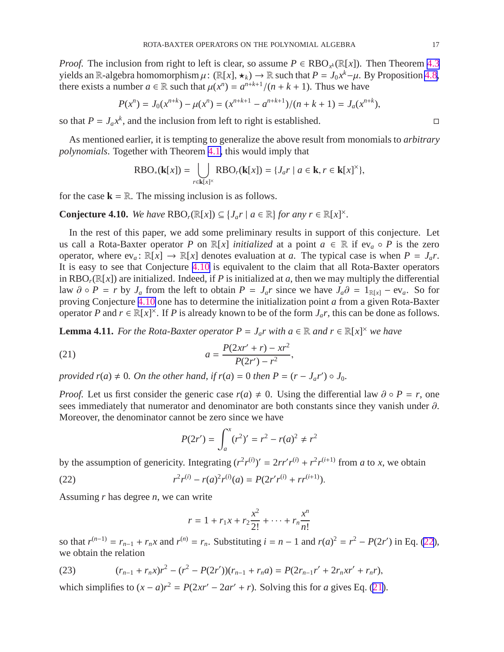*Proof.* The inclusion from right to left is clear, so assume  $P \in RBO_{x^k}(\mathbb{R}[x])$ . Then Theorem [4.3](#page-13-0) yields an R-algebra homomorphism  $\mu: (\mathbb{R}[x], \star_k) \to \mathbb{R}$  such that  $P = J_0 x^k - \mu$ . By Proposition [4.8](#page-15-0), there exists a number  $a \in \mathbb{R}$  such that  $\mu(x^n) = a^{n+k+1}/(n+k+1)$ . Thus we have

$$
P(x^n) = J_0(x^{n+k}) - \mu(x^n) = (x^{n+k+1} - a^{n+k+1})/(n+k+1) = J_a(x^{n+k}),
$$

so that  $P = J_a x^k$ , and the inclusion from left to right is established.

As mentioned earlier, it is tempting to generalize the above result from monomials to *arbitrary polynomials*. Together with Theorem [4.1,](#page-12-0) this would imply that

$$
RBO_*(\mathbf{k}[x]) = \bigcup_{r \in \mathbf{k}[x]^{\times}} RBO_r(\mathbf{k}[x]) = \{J_a r \mid a \in \mathbf{k}, r \in \mathbf{k}[x]^{\times}\},
$$

for the case  $\mathbf{k} = \mathbb{R}$ . The missing inclusion is as follows.

**Conjecture 4.10.** *We have*  $RBO_r(\mathbb{R}[x]) \subseteq \{J_a r \mid a \in \mathbb{R}\}$  *for any*  $r \in \mathbb{R}[x]^{\times}$ *.* 

In the rest of this paper, we add some preliminary results in support of this conjecture. Let us call a Rota-Baxter operator *P* on  $\mathbb{R}[x]$  *initialized* at a point  $a \in \mathbb{R}$  if  $ev_a \circ P$  is the zero operator, where  $ev_a$ :  $\mathbb{R}[x] \to \mathbb{R}[x]$  denotes evaluation at *a*. The typical case is when  $P = J_a r$ . It is easy to see that Conjecture [4.10](#page-16-0) is equivalent to the claim that all Rota-Baxter operators in RBO<sub>r</sub>( $\mathbb{R}[x]$ ) are initialized. Indeed, if *P* is initialized at *a*, then we may multiply the differential law  $\partial \circ P = r$  by  $J_a$  from the left to obtain  $P = J_a r$  since we have  $J_a \partial = 1_{R[x]} - ev_a$ . So for proving Conjecture [4.10](#page-16-0) one has to determine the initialization point *a* from a given Rota-Baxter operator *P* and  $r \in \mathbb{R}[x]^{\times}$ . If *P* is already known to be of the form  $J_a r$ , this can be done as follows.

**Lemma 4.11.** *For the Rota-Baxter operator*  $P = J_a r$  *with*  $a \in \mathbb{R}$  *and*  $r \in \mathbb{R}[x]^\times$  *we have* 

(21) 
$$
a = \frac{P(2xr' + r) - xr^2}{P(2r') - r^2},
$$

*provided r*(*a*)  $\neq$  0*. On the other hand, if r*(*a*) = 0 *then*  $P = (r - J_a r') \circ J_0$ *.* 

*Proof.* Let us first consider the generic case  $r(a) \neq 0$ . Using the differential law  $\partial \circ P = r$ , one sees immediately that numerator and denominator are both constants since they vanish under ∂. Moreover, the denominator cannot be zero since we have

$$
P(2r') = \int_a^x (r^2)' = r^2 - r(a)^2 \neq r^2
$$

by the assumption of genericity. Integrating  $(r^2r^{(i)})' = 2rr'r^{(i)} + r^2r^{(i+1)}$  from *a* to *x*, we obtain

(22) 
$$
r^{2}r^{(i)} - r(a)^{2}r^{(i)}(a) = P(2r'r^{(i)} + rr^{(i+1)}).
$$

Assuming *r* has degree *n*, we can write

$$
r = 1 + r_1 x + r_2 \frac{x^2}{2!} + \dots + r_n \frac{x^n}{n!}
$$

so that  $r^{(n-1)} = r_{n-1} + r_n x$  and  $r^{(n)} = r_n$ . Substituting  $i = n - 1$  and  $r(a)^2 = r^2 - P(2r')$  in Eq. [\(22](#page-16-0)), we obtain the relation

(23) 
$$
(r_{n-1} + r_n x)r^2 - (r^2 - P(2r'))(r_{n-1} + r_n a) = P(2r_{n-1}r' + 2r_n xr' + r_n r),
$$

which simplifies to  $(x - a)r^2 = P(2xr' - 2ar' + r)$ . Solving this for *a* gives Eq. [\(21](#page-16-0)).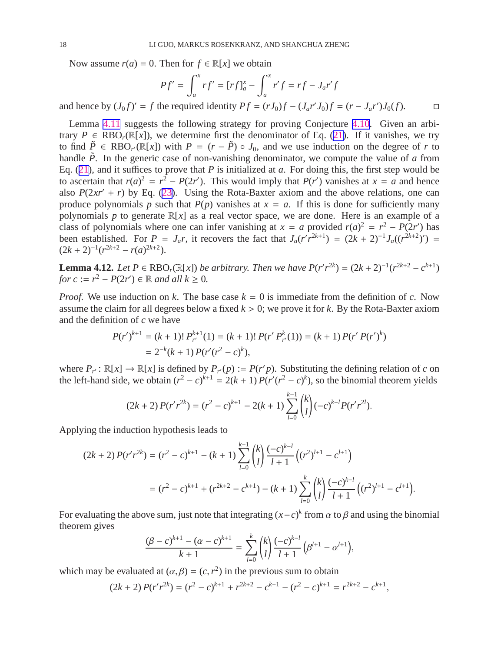<span id="page-18-0"></span>Now assume  $r(a) = 0$ . Then for  $f \in \mathbb{R}[x]$  we obtain

$$
Pf' = \int_{a}^{x} rf' = [rf]_{a}^{x} - \int_{a}^{x} r'f = rf - J_{a}r'f
$$

and hence by  $(J_0 f)' = f$  the required identity  $P f = (rJ_0)f - (J_a r'J_0)f = (r - J_a r')J_0(f)$ . □

Lemma [4.11](#page-16-0) suggests the following strategy for proving Conjecture [4.10](#page-16-0). Given an arbitrary  $P \in RBO_r(\mathbb{R}[x])$ , we determine first the denominator of Eq. ([21\)](#page-16-0). If it vanishes, we try to find  $\tilde{P} \in RBO_{r'}(\mathbb{R}[x])$  with  $P = (r - \tilde{P}) \circ J_0$ , and we use induction on the degree of *r* to handle  $\tilde{P}$ . In the generic case of non-vanishing denominator, we compute the value of *a* from Eq. ([21\)](#page-16-0), and it suffices to prove that *P* is initialized at *a*. For doing this, the first step would be to ascertain that  $r(a)^2 = r^2 - P(2r')$ . This would imply that  $P(r')$  vanishes at  $x = a$  and hence also  $P(2xr' + r)$  by Eq. ([23\)](#page-16-0). Using the Rota-Baxter axiom and the above relations, one can produce polynomials *p* such that  $P(p)$  vanishes at  $x = a$ . If this is done for sufficiently many polynomials *p* to generate  $\mathbb{R}[x]$  as a real vector space, we are done. Here is an example of a class of polynomials where one can infer vanishing at  $x = a$  provided  $r(a)^2 = r^2 - P(2r')$  has been established. For  $P = J_a r$ , it recovers the fact that  $J_a (r' r^{2k+1}) = (2k+2)^{-1} J_a ((r^{2k+2})') =$  $(2k+2)^{-1}(r^{2k+2} - r(a)^{2k+2}).$ 

**Lemma 4.12.** *Let*  $P \in \text{RBO}_r(\mathbb{R}[x])$  *be arbitrary. Then we have*  $P(r'r^{2k}) = (2k+2)^{-1}(r^{2k+2} - c^{k+1})$ *for*  $c := r^2 - P(2r') \in \mathbb{R}$  *and all*  $k \ge 0$ *.* 

*Proof.* We use induction on *k*. The base case  $k = 0$  is immediate from the definition of *c*. Now assume the claim for all degrees below a fixed  $k > 0$ ; we prove it for k. By the Rota-Baxter axiom and the definition of *c* we have

$$
P(r')^{k+1} = (k+1)! P_{r'}^{k+1}(1) = (k+1)! P(r' P_{r'}^{k}(1)) = (k+1) P(r' P(r')^{k})
$$
  
= 2<sup>-k</sup>(k+1) P(r'(r<sup>2</sup> - c)<sup>k</sup>),

where  $P_r : \mathbb{R}[x] \to \mathbb{R}[x]$  is defined by  $P_r(p) := P(r'p)$ . Substituting the defining relation of *c* on the left-hand side, we obtain  $(r^2 - c)^{k+1} = 2(k + 1) P(r'(r^2 - c)^k)$ , so the binomial theorem yields

$$
(2k+2) P(r'r^{2k}) = (r^2 - c)^{k+1} - 2(k+1) \sum_{l=0}^{k-1} {k \choose l} (-c)^{k-l} P(r'r^{2l}).
$$

Applying the induction hypothesis leads to

$$
(2k+2) P(r'r^{2k}) = (r^2 - c)^{k+1} - (k+1) \sum_{l=0}^{k-1} {k \choose l} \frac{(-c)^{k-l}}{l+1} \left( (r^2)^{l+1} - c^{l+1} \right)
$$
  
= 
$$
(r^2 - c)^{k+1} + (r^{2k+2} - c^{k+1}) - (k+1) \sum_{l=0}^{k} {k \choose l} \frac{(-c)^{k-l}}{l+1} \left( (r^2)^{l+1} - c^{l+1} \right).
$$

For evaluating the above sum, just note that integrating  $(x-c)^k$  from  $\alpha$  to  $\beta$  and using the binomial theorem gives

$$
\frac{(\beta-c)^{k+1}-(\alpha-c)^{k+1}}{k+1}=\sum_{l=0}^k {k \choose l} \frac{(-c)^{k-l}}{l+1} (\beta^{l+1}-\alpha^{l+1}),
$$

which may be evaluated at  $(\alpha, \beta) = (c, r^2)$  in the previous sum to obtain

$$
(2k+2) P(r'r^{2k}) = (r^2 - c)^{k+1} + r^{2k+2} - c^{k+1} - (r^2 - c)^{k+1} = r^{2k+2} - c^{k+1},
$$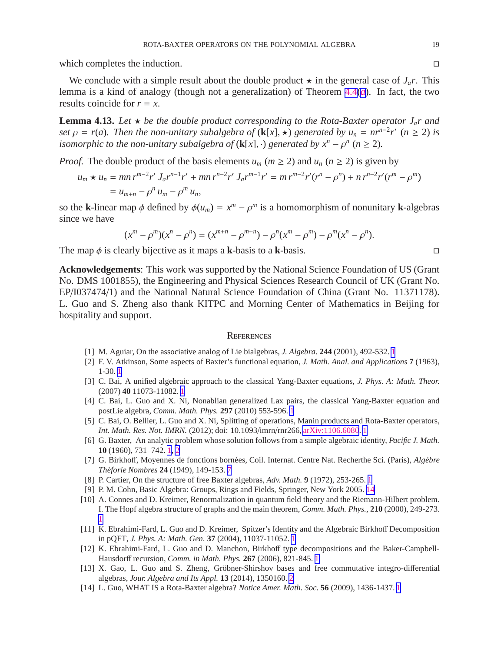<span id="page-19-0"></span>which completes the induction.  $\Box$ 

We conclude with a simple result about the double product  $\star$  in the general case of  $J_a r$ . This lemma is a kind of analogy (though not a generalization) of Theorem [4.4](#page-14-0)(*[a](#page-14-0)*). In fact, the two results coincide for *r* = *x*.

**Lemma 4.13.** Let  $\star$  be the double product corresponding to the Rota-Baxter operator  $J_a r$  and *set*  $\rho = r(a)$ *. Then the non-unitary subalgebra of* (**k**[*x*],  $\star$ ) *generated by*  $u_n = nr^{n-2}r'$  ( $n \ge 2$ ) *is isomorphic to the non-unitary subalgebra of* ( $\mathbf{k}[x]$ ,  $\cdot$ ) *generated by*  $x^n - \rho^n$  ( $n \ge 2$ ).

*Proof.* The double product of the basis elements  $u_m$  ( $m \ge 2$ ) and  $u_n$  ( $n \ge 2$ ) is given by

$$
u_m \star u_n = mn r^{m-2} r' J_a r^{n-1} r' + mn r^{n-2} r' J_a r^{m-1} r' = m r^{m-2} r' (r^n - \rho^n) + n r^{n-2} r' (r^m - \rho^m)
$$
  
=  $u_{m+n} - \rho^n u_m - \rho^m u_n$ ,

so the **k**-linear map  $\phi$  defined by  $\phi(u_m) = x^m - \rho^m$  is a homomorphism of nonunitary **k**-algebras since we have

$$
(xm - \rhom)(xn - \rhon) = (xm+n - \rhom+n) - \rhon(xm - \rhom) - \rhom(xn - \rhon).
$$

The map  $\phi$  is clearly bijective as it maps a **k**-basis to a **k**-basis.

**Acknowledgements**: This work was supported by the National Science Foundation of US (Grant No. DMS 1001855), the Engineering and Physical Sciences Research Council of UK (Grant No. EP/I037474/1) and the National Natural Science Foundation of China (Grant No. 11371178). L. Guo and S. Zheng also thank KITPC and Morning Center of Mathematics in Beijing for hospitality and support.

#### **REFERENCES**

- [1] M. Aguiar, On the associative analog of Lie bialgebras, *J. Algebra*. **244** (2001), 492-532. [1](#page-0-0)
- [2] F. V. Atkinson, Some aspects of Baxter's functional equation, *J. Math. Anal. and Applications* **7** (1963), 1-30. [1](#page-0-0)
- [3] C. Bai, A unified algebraic approach to the classical Yang-Baxter equations, *J. Phys. A: Math. Theor.* (2007) **40** 11073-11082. [1](#page-0-0)
- [4] C. Bai, L. Guo and X. Ni, Nonablian generalized Lax pairs, the classical Yang-Baxter equation and postLie algebra, *Comm. Math. Phys.* **297** (2010) 553-596. [1](#page-0-0)
- [5] C. Bai, O. Bellier, L. Guo and X. Ni, Splitting of operations, Manin products and Rota-Baxter operators, *Int. Math. Res. Not. IMRN.* (2012); doi: 10.1093/imrn/rnr266, [arXiv:1106.6080](http://arxiv.org/abs/1106.6080). [1](#page-0-0)
- [6] G. Baxter, An analytic problem whose solution follows from a simple algebraic identity, *Pacific J. Math.* **10** (1960), 731–742. [1](#page-0-0), [2](#page-1-0)
- [7] G. Birkhoff, Moyennes de fonctions born´ees, Coil. Internat. Centre Nat. Recherthe Sci. (Paris), *Alg`ebre Th´eforie Nombres* **24** (1949), 149-153. [7](#page-6-0)
- [8] P. Cartier, On the structure of free Baxter algebras, *Adv. Math.* **9** (1972), 253-265. [1](#page-0-0)
- [9] P. M. Cohn, Basic Algebra: Groups, Rings and Fields, Springer, New York 2005. [14](#page-13-0)
- [10] A. Connes and D. Kreimer, Renormalization in quantum field theory and the Riemann-Hilbert problem. I. The Hopf algebra structure of graphs and the main theorem, *Comm. Math. Phys.*, **210** (2000), 249-273. [1](#page-0-0)
- [11] K. Ebrahimi-Fard, L. Guo and D. Kreimer, Spitzer's Identity and the Algebraic Birkhoff Decomposition in pQFT, *J. Phys. A: Math. Gen.* **37** (2004), 11037-11052. [1](#page-0-0)
- [12] K. Ebrahimi-Fard, L. Guo and D. Manchon, Birkhoff type decompositions and the Baker-Campbell-Hausdorff recursion, *Comm. in Math. Phys.* **267** (2006), 821-845. [1](#page-0-0)
- [13] X. Gao, L. Guo and S. Zheng, Gröbner-Shirshov bases and free commutative integro-differential algebras, *Jour. Algebra and Its Appl.* **13** (2014), 1350160. [2](#page-1-0)
- [14] L. Guo, WHAT IS a Rota-Baxter algebra? *Notice Amer. Math. Soc.* **56** (2009), 1436-1437. [1](#page-0-0)